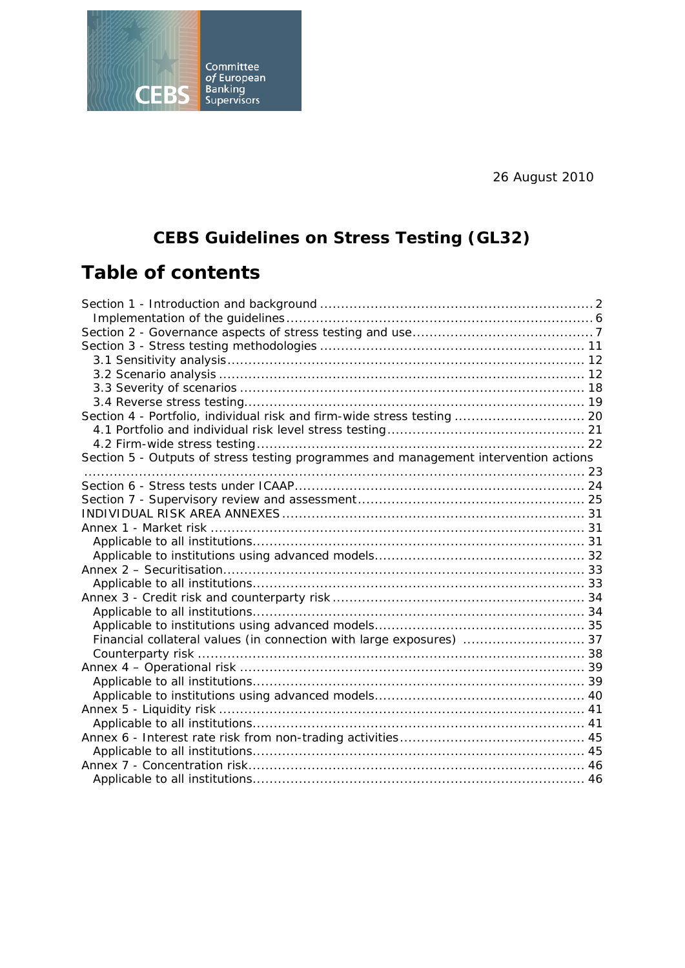26 August 2010



# **Table of contents**

**CEBS** 

Committee<br>
of European<br>
Banking<br>
Supervisors

| Section 4 - Portfolio, individual risk and firm-wide stress testing  20              |  |
|--------------------------------------------------------------------------------------|--|
|                                                                                      |  |
|                                                                                      |  |
| Section 5 - Outputs of stress testing programmes and management intervention actions |  |
|                                                                                      |  |
|                                                                                      |  |
|                                                                                      |  |
|                                                                                      |  |
|                                                                                      |  |
|                                                                                      |  |
|                                                                                      |  |
|                                                                                      |  |
|                                                                                      |  |
|                                                                                      |  |
|                                                                                      |  |
|                                                                                      |  |
| Financial collateral values (in connection with large exposures)  37                 |  |
|                                                                                      |  |
|                                                                                      |  |
|                                                                                      |  |
|                                                                                      |  |
|                                                                                      |  |
|                                                                                      |  |
|                                                                                      |  |
|                                                                                      |  |
|                                                                                      |  |
|                                                                                      |  |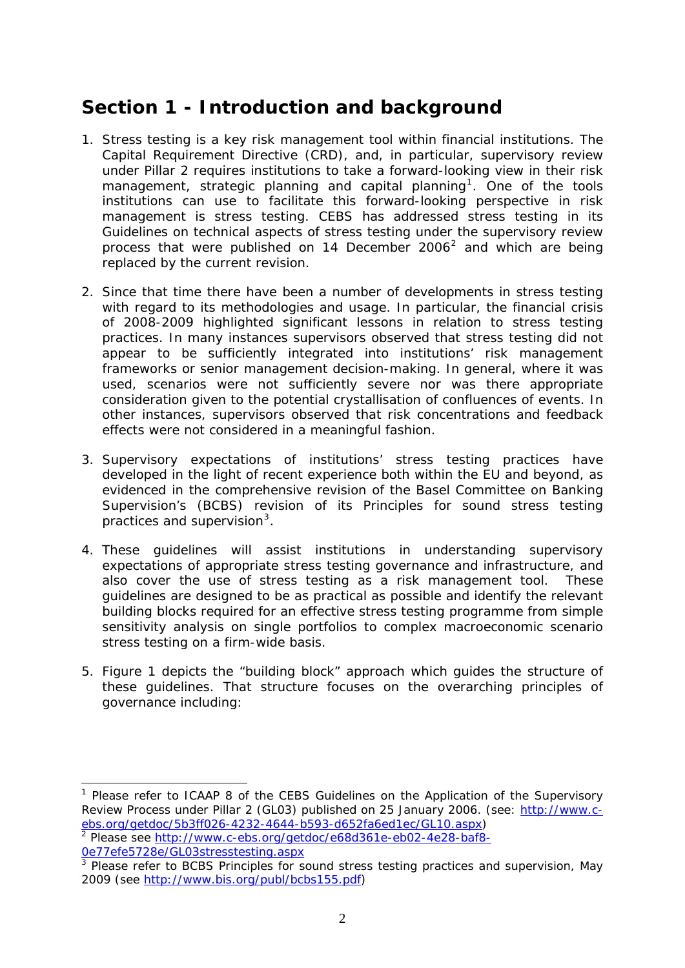# <span id="page-1-0"></span>**Section 1 - Introduction and background**

- 1. Stress testing is a key risk management tool within financial institutions. The Capital Requirement Directive (CRD), and, in particular, supervisory review under Pillar 2 requires institutions to take a forward-looking view in their risk management, strategic planning and capital planning<sup>[1](#page-1-1)</sup>. One of the tools institutions can use to facilitate this forward-looking perspective in risk management is stress testing. CEBS has addressed stress testing in its Guidelines on technical aspects of stress testing under the supervisory review process that were published on 14 December [2](#page-1-2)006<sup>2</sup> and which are being replaced by the current revision.
- 2. Since that time there have been a number of developments in stress testing with regard to its methodologies and usage. In particular, the financial crisis of 2008-2009 highlighted significant lessons in relation to stress testing practices. In many instances supervisors observed that stress testing did not appear to be sufficiently integrated into institutions' risk management frameworks or senior management decision-making. In general, where it was used, scenarios were not sufficiently severe nor was there appropriate consideration given to the potential crystallisation of confluences of events. In other instances, supervisors observed that risk concentrations and feedback effects were not considered in a meaningful fashion.
- 3. Supervisory expectations of institutions' stress testing practices have developed in the light of recent experience both within the EU and beyond, as evidenced in the comprehensive revision of the Basel Committee on Banking Supervision's (BCBS) revision of its Principles for sound stress testing practices and supervision $3$ .
- 4. These guidelines will assist institutions in understanding supervisory expectations of appropriate stress testing governance and infrastructure, and also cover the use of stress testing as a risk management tool. These guidelines are designed to be as practical as possible and identify the relevant building blocks required for an effective stress testing programme from simple sensitivity analysis on single portfolios to complex macroeconomic scenario stress testing on a firm-wide basis.
- 5. Figure 1 depicts the "building block" approach which guides the structure of these guidelines. That structure focuses on the overarching principles of governance including:

<span id="page-1-2"></span>0e77efe5728e/GL03stresstesting.aspx

<span id="page-1-1"></span><sup>&</sup>lt;sup>1</sup> Please refer to ICAAP 8 of the CEBS Guidelines on the Application of the Supervisory Review Process under Pillar 2 (GL03) published on 25 January 2006. (see: [http://www.c](http://www.c-ebs.org/getdoc/5b3ff026-4232-4644-b593-d652fa6ed1ec/GL10.aspx)[ebs.org/getdoc/5b3ff026-4232-4644-b593-d652fa6ed1ec/GL10.aspx](http://www.c-ebs.org/getdoc/5b3ff026-4232-4644-b593-d652fa6ed1ec/GL10.aspx)) <sup>2</sup> Please see [http://www.c-ebs.org/getdoc/e68d361e-eb02-4e28-baf8-](http://www.c-ebs.org/getdoc/e68d361e-eb02-4e28-baf8-0e77efe5728e/GL03stresstesting.aspx)

<span id="page-1-3"></span><sup>&</sup>lt;sup>3</sup> Please refer to BCBS Principles for sound stress testing practices and supervision, May 2009 (see [http://www.bis.org/publ/bcbs155.pdf\)](http://www.bis.org/publ/bcbs155.pdf)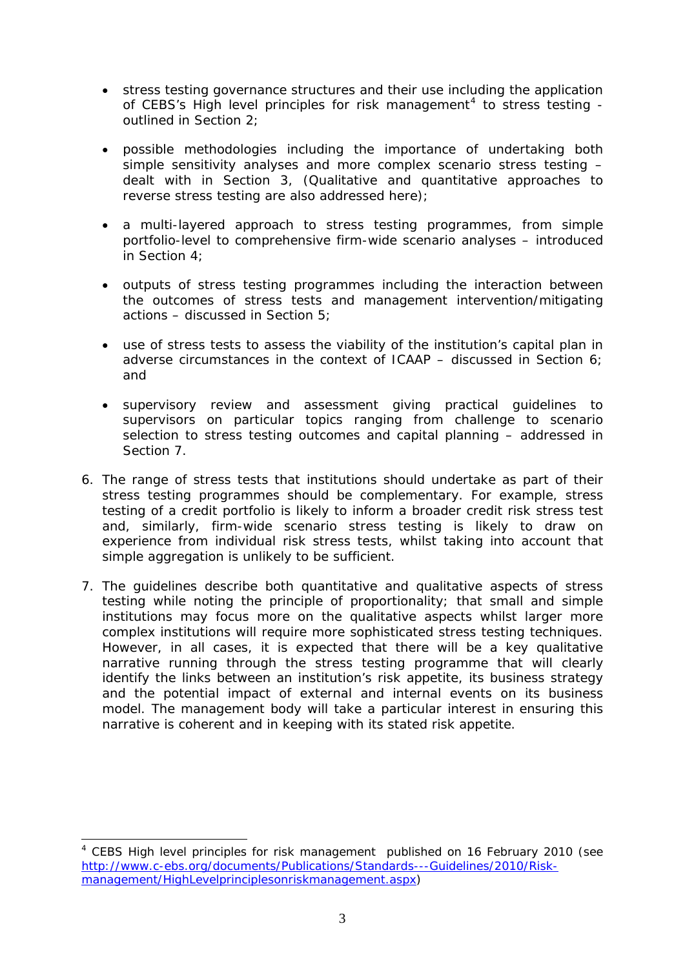- stress testing governance structures and their use including the application of CEBS's High level principles for risk management<sup>[4](#page-2-0)</sup> to stress testing outlined in Section 2;
- possible methodologies including the importance of undertaking both simple sensitivity analyses and more complex scenario stress testing – dealt with in Section 3, (Qualitative and quantitative approaches to reverse stress testing are also addressed here);
- a multi-layered approach to stress testing programmes, from simple portfolio-level to comprehensive firm-wide scenario analyses – introduced in Section 4;
- outputs of stress testing programmes including the interaction between the outcomes of stress tests and management intervention/mitigating actions – discussed in Section 5;
- use of stress tests to assess the viability of the institution's capital plan in adverse circumstances in the context of ICAAP – discussed in Section 6; and
- supervisory review and assessment giving practical guidelines to supervisors on particular topics ranging from challenge to scenario selection to stress testing outcomes and capital planning – addressed in Section 7.
- 6. The range of stress tests that institutions should undertake as part of their stress testing programmes should be complementary. For example, stress testing of a credit portfolio is likely to inform a broader credit risk stress test and, similarly, firm-wide scenario stress testing is likely to draw on experience from individual risk stress tests, whilst taking into account that simple aggregation is unlikely to be sufficient.
- 7. The guidelines describe both quantitative and qualitative aspects of stress testing while noting the principle of proportionality; that small and simple institutions may focus more on the qualitative aspects whilst larger more complex institutions will require more sophisticated stress testing techniques. However, in all cases, it is expected that there will be a key qualitative narrative running through the stress testing programme that will clearly identify the links between an institution's risk appetite, its business strategy and the potential impact of external and internal events on its business model. The management body will take a particular interest in ensuring this narrative is coherent and in keeping with its stated risk appetite.

<span id="page-2-0"></span><sup>&</sup>lt;sup>4</sup> CEBS High level principles for risk management published on 16 February 2010 (see [http://www.c-ebs.org/documents/Publications/Standards---Guidelines/2010/Risk](http://www.c-ebs.org/documents/Publications/Standards---Guidelines/2010/Risk-management/HighLevelprinciplesonriskmanagement.aspx)[management/HighLevelprinciplesonriskmanagement.aspx\)](http://www.c-ebs.org/documents/Publications/Standards---Guidelines/2010/Risk-management/HighLevelprinciplesonriskmanagement.aspx)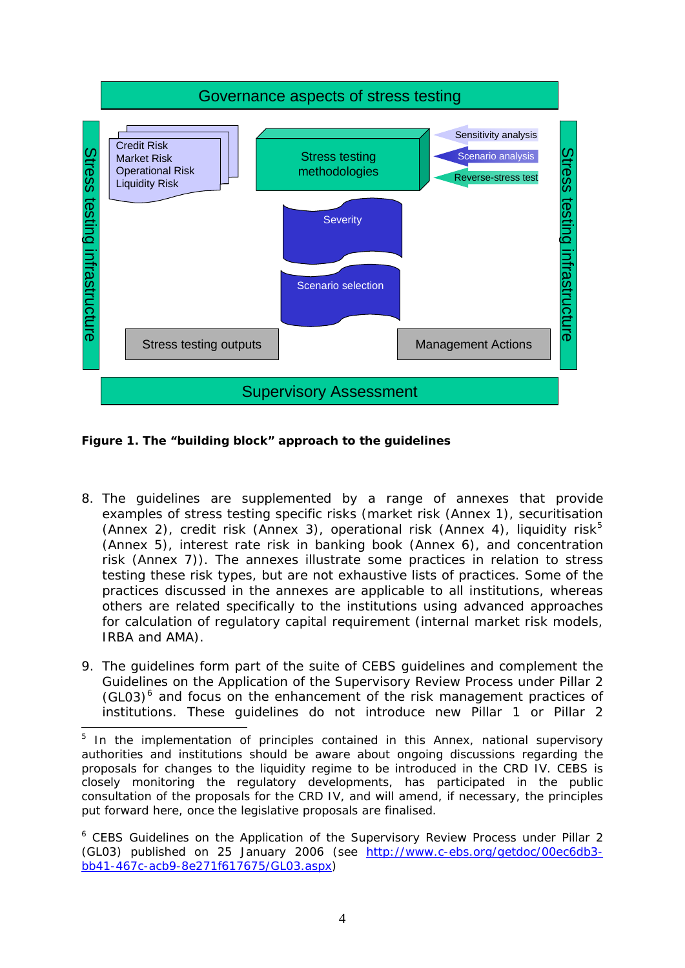

**Figure 1. The "building block" approach to the guidelines** 

1

- 8. The guidelines are supplemented by a range of annexes that provide examples of stress testing specific risks (market risk (Annex 1), securitisation (Annex 2), credit risk (Annex 3), operational risk (Annex 4), liquidity risk<sup>[5](#page-3-0)</sup> (Annex 5), interest rate risk in banking book (Annex 6), and concentration risk (Annex 7)). The annexes illustrate some practices in relation to stress testing these risk types, but are not exhaustive lists of practices. Some of the practices discussed in the annexes are applicable to all institutions, whereas others are related specifically to the institutions using advanced approaches for calculation of regulatory capital requirement (internal market risk models, IRBA and AMA).
- 9. The guidelines form part of the suite of CEBS guidelines and complement the Guidelines on the Application of the Supervisory Review Process under Pillar 2  $(GL03)$ <sup>[6](#page-3-1)</sup> and focus on the enhancement of the risk management practices of institutions. These guidelines do not introduce new Pillar 1 or Pillar 2

<span id="page-3-0"></span><sup>&</sup>lt;sup>5</sup> In the implementation of principles contained in this Annex, national supervisory authorities and institutions should be aware about ongoing discussions regarding the proposals for changes to the liquidity regime to be introduced in the CRD IV. CEBS is closely monitoring the regulatory developments, has participated in the public consultation of the proposals for the CRD IV, and will amend, if necessary, the principles put forward here, once the legislative proposals are finalised.

<span id="page-3-1"></span><sup>&</sup>lt;sup>6</sup> CEBS Guidelines on the Application of the Supervisory Review Process under Pillar 2 (GL03) published on 25 January 2006 (see [http://www.c-ebs.org/getdoc/00ec6db3](http://www.c-ebs.org/getdoc/00ec6db3-bb41-467c-acb9-8e271f617675/GL03.aspx) [bb41-467c-acb9-8e271f617675/GL03.aspx\)](http://www.c-ebs.org/getdoc/00ec6db3-bb41-467c-acb9-8e271f617675/GL03.aspx)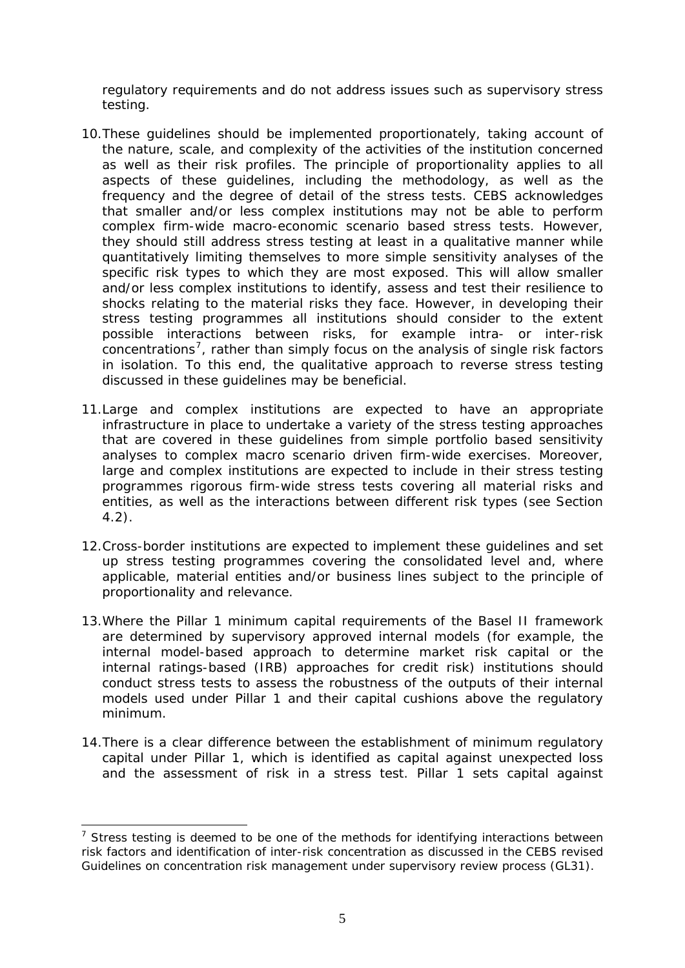regulatory requirements and do not address issues such as supervisory stress testing.

- 10.These guidelines should be implemented proportionately, taking account of the nature, scale, and complexity of the activities of the institution concerned as well as their risk profiles. The principle of proportionality applies to all aspects of these guidelines, including the methodology, as well as the frequency and the degree of detail of the stress tests. CEBS acknowledges that smaller and/or less complex institutions may not be able to perform complex firm-wide macro-economic scenario based stress tests. However, they should still address stress testing at least in a qualitative manner while quantitatively limiting themselves to more simple sensitivity analyses of the specific risk types to which they are most exposed. This will allow smaller and/or less complex institutions to identify, assess and test their resilience to shocks relating to the material risks they face. However, in developing their stress testing programmes all institutions should consider to the extent possible interactions between risks, for example intra- or inter-risk concentrations<sup>[7](#page-4-0)</sup>, rather than simply focus on the analysis of single risk factors in isolation. To this end, the qualitative approach to reverse stress testing discussed in these guidelines may be beneficial.
- 11.Large and complex institutions are expected to have an appropriate infrastructure in place to undertake a variety of the stress testing approaches that are covered in these guidelines from simple portfolio based sensitivity analyses to complex macro scenario driven firm-wide exercises. Moreover, large and complex institutions are expected to include in their stress testing programmes rigorous firm-wide stress tests covering all material risks and entities, as well as the interactions between different risk types (see Section 4.2).
- 12.Cross-border institutions are expected to implement these guidelines and set up stress testing programmes covering the consolidated level and, where applicable, material entities and/or business lines subject to the principle of proportionality and relevance.
- 13.Where the Pillar 1 minimum capital requirements of the Basel II framework are determined by supervisory approved internal models (for example, the internal model-based approach to determine market risk capital or the internal ratings-based (IRB) approaches for credit risk) institutions should conduct stress tests to assess the robustness of the outputs of their internal models used under Pillar 1 and their capital cushions above the regulatory minimum.
- 14.There is a clear difference between the establishment of minimum regulatory capital under Pillar 1, which is identified as capital against unexpected loss and the assessment of risk in a stress test. Pillar 1 sets capital against

<span id="page-4-0"></span> $<sup>7</sup>$  Stress testing is deemed to be one of the methods for identifying interactions between</sup> risk factors and identification of inter-risk concentration as discussed in the CEBS revised Guidelines on concentration risk management under supervisory review process (GL31).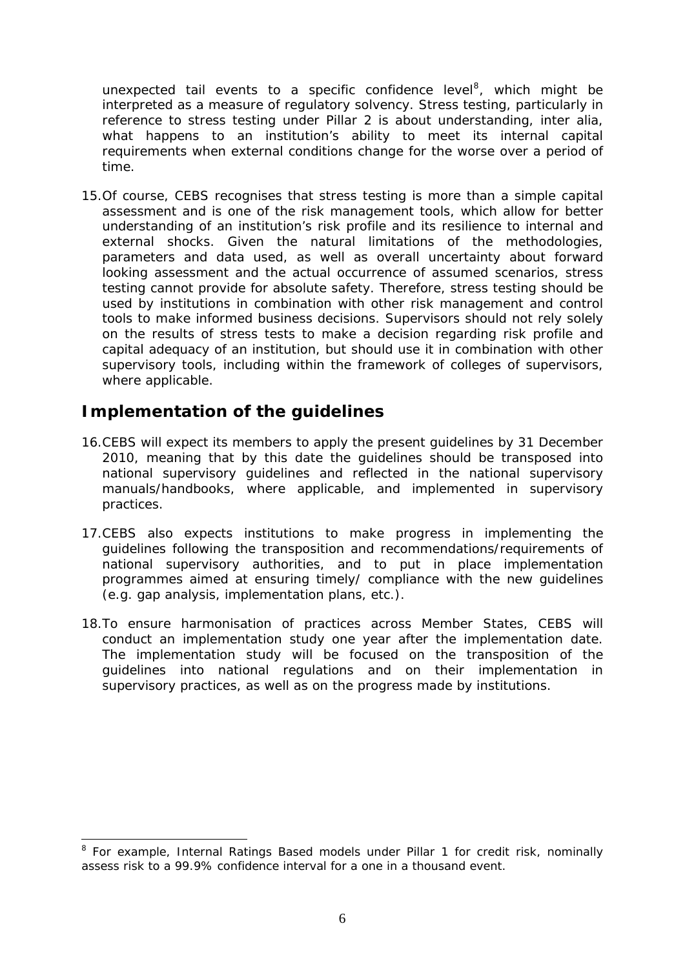<span id="page-5-0"></span>unexpected tail events to a specific confidence level<sup>8</sup>, which might be interpreted as a measure of regulatory solvency. Stress testing, particularly in reference to stress testing under Pillar 2 is about understanding, inter alia, what happens to an institution's ability to meet its internal capital requirements when external conditions change for the worse over a period of time.

15.Of course, CEBS recognises that stress testing is more than a simple capital assessment and is one of the risk management tools, which allow for better understanding of an institution's risk profile and its resilience to internal and external shocks. Given the natural limitations of the methodologies, parameters and data used, as well as overall uncertainty about forward looking assessment and the actual occurrence of assumed scenarios, stress testing cannot provide for absolute safety. Therefore, stress testing should be used by institutions in combination with other risk management and control tools to make informed business decisions. Supervisors should not rely solely on the results of stress tests to make a decision regarding risk profile and capital adequacy of an institution, but should use it in combination with other supervisory tools, including within the framework of colleges of supervisors, where applicable.

#### *Implementation of the guidelines*

1

- 16.CEBS will expect its members to apply the present guidelines by 31 December 2010, meaning that by this date the guidelines should be transposed into national supervisory guidelines and reflected in the national supervisory manuals/handbooks, where applicable, and implemented in supervisory practices.
- 17.CEBS also expects institutions to make progress in implementing the guidelines following the transposition and recommendations/requirements of national supervisory authorities, and to put in place implementation programmes aimed at ensuring timely/ compliance with the new guidelines (e.g. gap analysis, implementation plans, etc.).
- 18.To ensure harmonisation of practices across Member States, CEBS will conduct an implementation study one year after the implementation date. The implementation study will be focused on the transposition of the guidelines into national regulations and on their implementation in supervisory practices, as well as on the progress made by institutions.

<sup>&</sup>lt;sup>8</sup> For example, Internal Ratings Based models under Pillar 1 for credit risk, nominally assess risk to a 99.9% confidence interval for a one in a thousand event.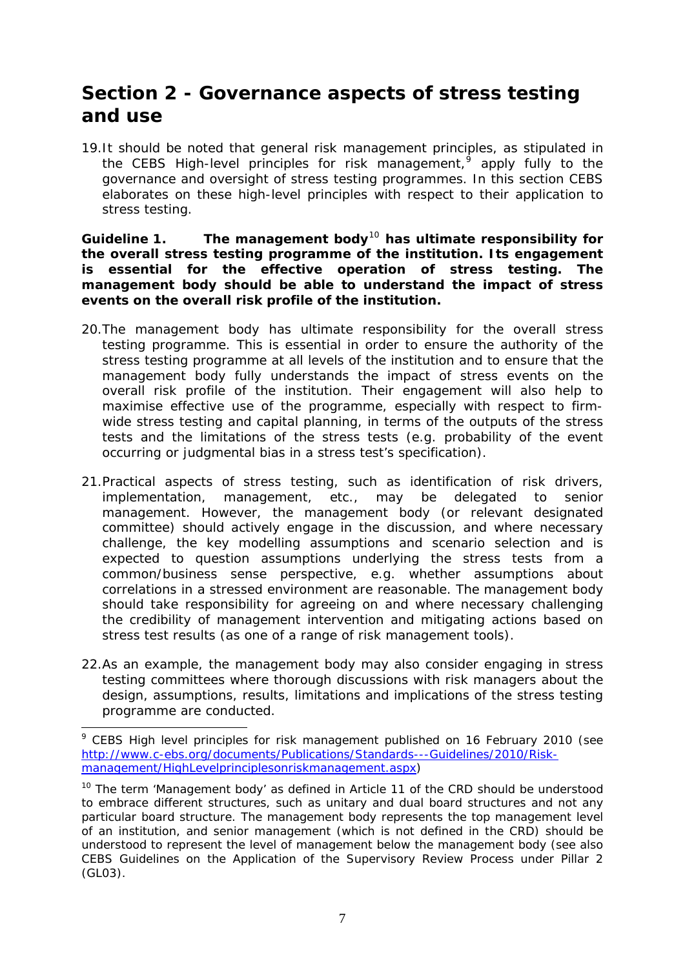# <span id="page-6-0"></span>**Section 2 - Governance aspects of stress testing and use**

19.It should be noted that general risk management principles, as stipulated in the CEBS High-level principles for risk management, $9$  apply fully to the governance and oversight of stress testing programmes. In this section CEBS elaborates on these high-level principles with respect to their application to stress testing.

**Guideline 1. The management body**[10](#page-6-2) **has ultimate responsibility for the overall stress testing programme of the institution. Its engagement is essential for the effective operation of stress testing. The management body should be able to understand the impact of stress events on the overall risk profile of the institution.** 

- 20.The management body has ultimate responsibility for the overall stress testing programme. This is essential in order to ensure the authority of the stress testing programme at all levels of the institution and to ensure that the management body fully understands the impact of stress events on the overall risk profile of the institution. Their engagement will also help to maximise effective use of the programme, especially with respect to firmwide stress testing and capital planning, in terms of the outputs of the stress tests and the limitations of the stress tests (e.g. probability of the event occurring or judgmental bias in a stress test's specification).
- 21.Practical aspects of stress testing, such as identification of risk drivers, implementation, management, etc., may be delegated to senior management. However, the management body (or relevant designated committee) should actively engage in the discussion, and where necessary challenge, the key modelling assumptions and scenario selection and is expected to question assumptions underlying the stress tests from a common/business sense perspective, e.g. whether assumptions about correlations in a stressed environment are reasonable. The management body should take responsibility for agreeing on and where necessary challenging the credibility of management intervention and mitigating actions based on stress test results (as one of a range of risk management tools).
- 22.As an example, the management body may also consider engaging in stress testing committees where thorough discussions with risk managers about the design, assumptions, results, limitations and implications of the stress testing programme are conducted.

<span id="page-6-1"></span><sup>&</sup>lt;sup>9</sup> CEBS High level principles for risk management published on 16 February 2010 (see [http://www.c-ebs.org/documents/Publications/Standards---Guidelines/2010/Risk](http://www.c-ebs.org/documents/Publications/Standards---Guidelines/2010/Risk-management/HighLevelprinciplesonriskmanagement.aspx)[management/HighLevelprinciplesonriskmanagement.aspx\)](http://www.c-ebs.org/documents/Publications/Standards---Guidelines/2010/Risk-management/HighLevelprinciplesonriskmanagement.aspx)

<span id="page-6-2"></span><sup>&</sup>lt;sup>10</sup> The term 'Management body' as defined in Article 11 of the CRD should be understood to embrace different structures, such as unitary and dual board structures and not any particular board structure. The management body represents the top management level of an institution, and senior management (which is not defined in the CRD) should be understood to represent the level of management below the management body (see also CEBS Guidelines on the Application of the Supervisory Review Process under Pillar 2 (GL03).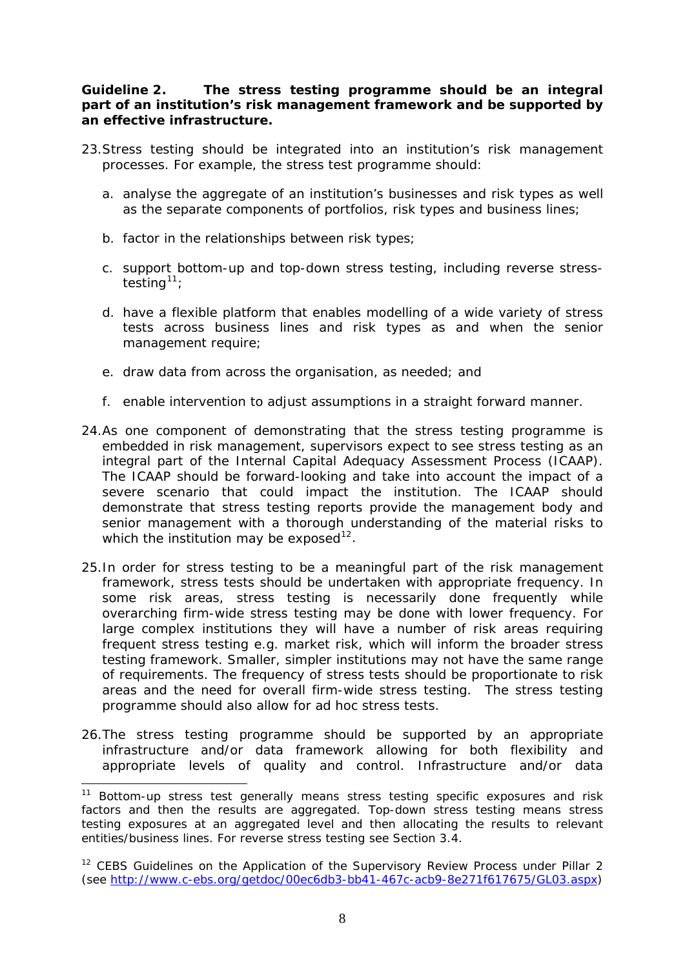#### **Guideline 2. The stress testing programme should be an integral part of an institution's risk management framework and be supported by an effective infrastructure.**

- 23.Stress testing should be integrated into an institution's risk management processes. For example, the stress test programme should:
	- a. analyse the aggregate of an institution's businesses and risk types as well as the separate components of portfolios, risk types and business lines;
	- b. factor in the relationships between risk types;
	- c. support bottom-up and top-down stress testing, including reverse stress-testing<sup>[11](#page-7-0)</sup>;
	- d. have a flexible platform that enables modelling of a wide variety of stress tests across business lines and risk types as and when the senior management require;
	- e. draw data from across the organisation, as needed; and
	- f. enable intervention to adjust assumptions in a straight forward manner.
- 24.As one component of demonstrating that the stress testing programme is embedded in risk management, supervisors expect to see stress testing as an integral part of the Internal Capital Adequacy Assessment Process (ICAAP). The ICAAP should be forward-looking and take into account the impact of a severe scenario that could impact the institution. The ICAAP should demonstrate that stress testing reports provide the management body and senior management with a thorough understanding of the material risks to which the institution may be exposed<sup>[12](#page-7-1)</sup>.
- 25.In order for stress testing to be a meaningful part of the risk management framework, stress tests should be undertaken with appropriate frequency. In some risk areas, stress testing is necessarily done frequently while overarching firm-wide stress testing may be done with lower frequency. For large complex institutions they will have a number of risk areas requiring frequent stress testing e.g. market risk, which will inform the broader stress testing framework. Smaller, simpler institutions may not have the same range of requirements. The frequency of stress tests should be proportionate to risk areas and the need for overall firm-wide stress testing. The stress testing programme should also allow for ad hoc stress tests.
- 26.The stress testing programme should be supported by an appropriate infrastructure and/or data framework allowing for both flexibility and appropriate levels of quality and control. Infrastructure and/or data

<span id="page-7-0"></span><sup>&</sup>lt;sup>11</sup> Bottom-up stress test generally means stress testing specific exposures and risk factors and then the results are aggregated. Top-down stress testing means stress testing exposures at an aggregated level and then allocating the results to relevant entities/business lines. For reverse stress testing see Section 3.4.

<span id="page-7-1"></span> $12$  CEBS Guidelines on the Application of the Supervisory Review Process under Pillar 2 (see [http://www.c-ebs.org/getdoc/00ec6db3-bb41-467c-acb9-8e271f617675/GL03.aspx\)](http://www.c-ebs.org/getdoc/00ec6db3-bb41-467c-acb9-8e271f617675/GL03.aspx)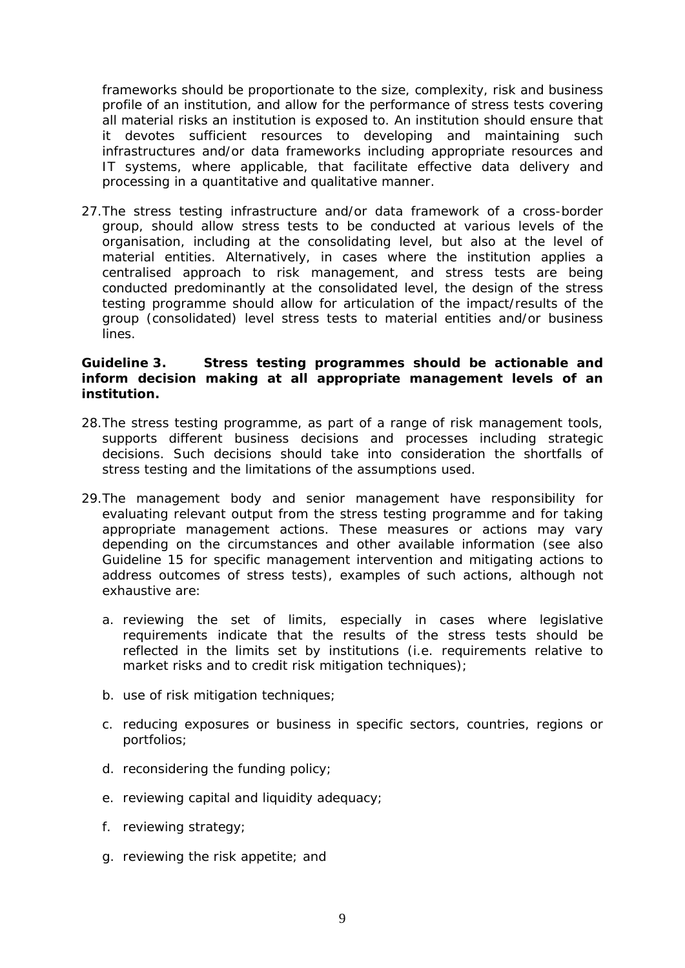frameworks should be proportionate to the size, complexity, risk and business profile of an institution, and allow for the performance of stress tests covering all material risks an institution is exposed to. An institution should ensure that it devotes sufficient resources to developing and maintaining such infrastructures and/or data frameworks including appropriate resources and IT systems, where applicable, that facilitate effective data delivery and processing in a quantitative and qualitative manner.

27.The stress testing infrastructure and/or data framework of a cross-border group, should allow stress tests to be conducted at various levels of the organisation, including at the consolidating level, but also at the level of material entities. Alternatively, in cases where the institution applies a centralised approach to risk management, and stress tests are being conducted predominantly at the consolidated level, the design of the stress testing programme should allow for articulation of the impact/results of the group (consolidated) level stress tests to material entities and/or business lines.

#### **Guideline 3. Stress testing programmes should be actionable and inform decision making at all appropriate management levels of an institution.**

- 28.The stress testing programme, as part of a range of risk management tools, supports different business decisions and processes including strategic decisions. Such decisions should take into consideration the shortfalls of stress testing and the limitations of the assumptions used.
- 29.The management body and senior management have responsibility for evaluating relevant output from the stress testing programme and for taking appropriate management actions. These measures or actions may vary depending on the circumstances and other available information (see also Guideline 15 for specific management intervention and mitigating actions to address outcomes of stress tests), examples of such actions, although not exhaustive are:
	- a. reviewing the set of limits, especially in cases where legislative requirements indicate that the results of the stress tests should be reflected in the limits set by institutions (i.e. requirements relative to market risks and to credit risk mitigation techniques);
	- b. use of risk mitigation techniques;
	- c. reducing exposures or business in specific sectors, countries, regions or portfolios;
	- d. reconsidering the funding policy;
	- e. reviewing capital and liquidity adequacy;
	- f. reviewing strategy;
	- g. reviewing the risk appetite; and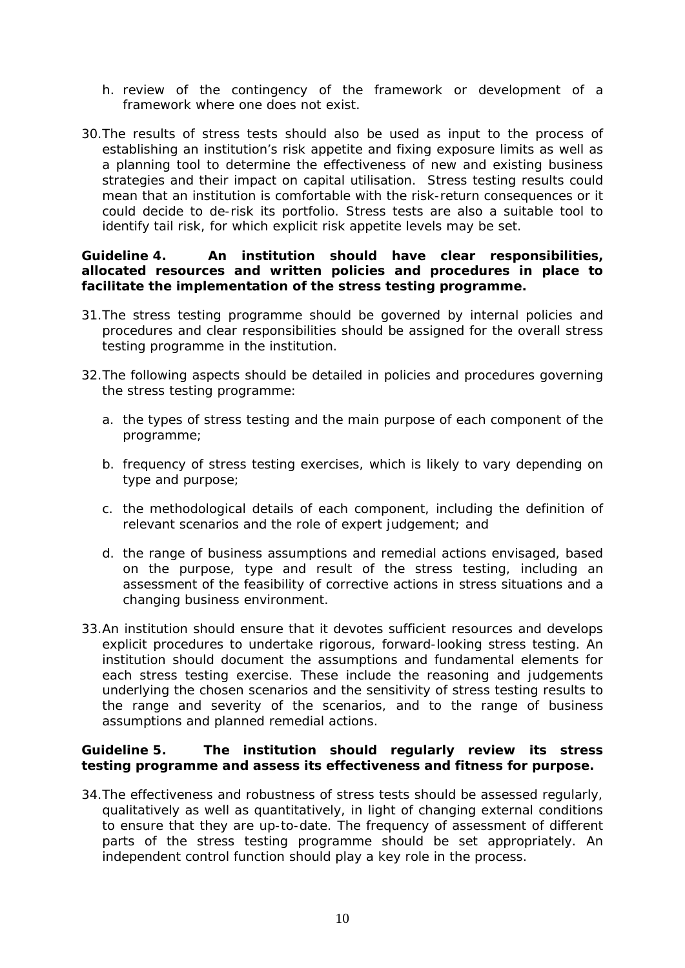- h. review of the contingency of the framework or development of a framework where one does not exist.
- 30.The results of stress tests should also be used as input to the process of establishing an institution's risk appetite and fixing exposure limits as well as a planning tool to determine the effectiveness of new and existing business strategies and their impact on capital utilisation. Stress testing results could mean that an institution is comfortable with the risk-return consequences or it could decide to de-risk its portfolio. Stress tests are also a suitable tool to identify tail risk, for which explicit risk appetite levels may be set.

#### **Guideline 4. An institution should have clear responsibilities, allocated resources and written policies and procedures in place to facilitate the implementation of the stress testing programme.**

- 31.The stress testing programme should be governed by internal policies and procedures and clear responsibilities should be assigned for the overall stress testing programme in the institution.
- 32.The following aspects should be detailed in policies and procedures governing the stress testing programme:
	- a. the types of stress testing and the main purpose of each component of the programme;
	- b. frequency of stress testing exercises, which is likely to vary depending on type and purpose;
	- c. the methodological details of each component, including the definition of relevant scenarios and the role of expert judgement; and
	- d. the range of business assumptions and remedial actions envisaged, based on the purpose, type and result of the stress testing, including an assessment of the feasibility of corrective actions in stress situations and a changing business environment.
- 33.An institution should ensure that it devotes sufficient resources and develops explicit procedures to undertake rigorous, forward-looking stress testing. An institution should document the assumptions and fundamental elements for each stress testing exercise. These include the reasoning and judgements underlying the chosen scenarios and the sensitivity of stress testing results to the range and severity of the scenarios, and to the range of business assumptions and planned remedial actions.

#### **Guideline 5. The institution should regularly review its stress testing programme and assess its effectiveness and fitness for purpose.**

34.The effectiveness and robustness of stress tests should be assessed regularly, qualitatively as well as quantitatively, in light of changing external conditions to ensure that they are up-to-date. The frequency of assessment of different parts of the stress testing programme should be set appropriately. An independent control function should play a key role in the process.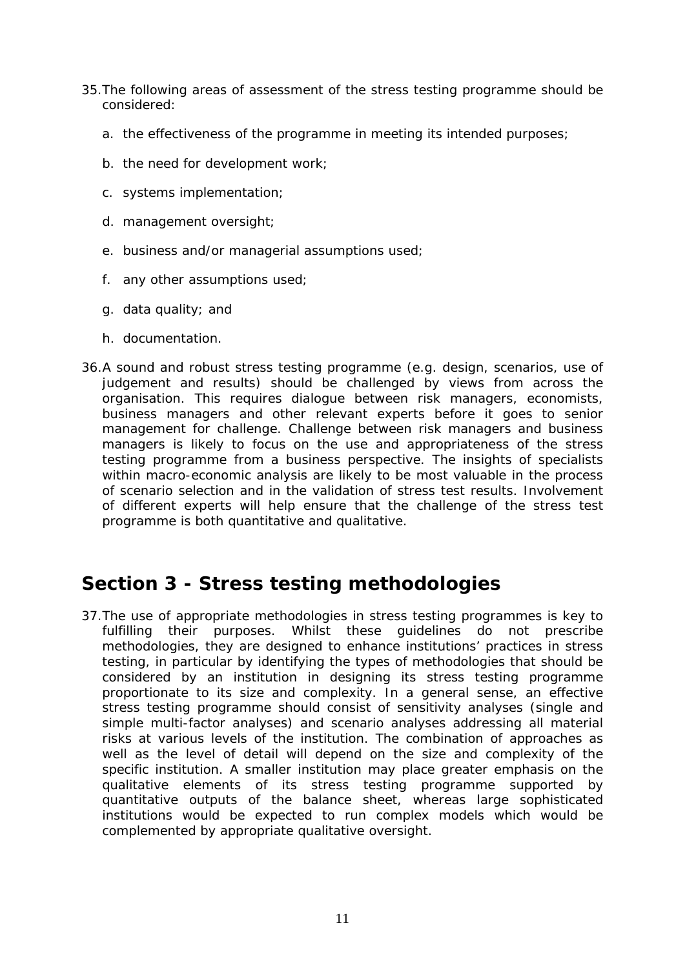- <span id="page-10-0"></span>35.The following areas of assessment of the stress testing programme should be considered:
	- a. the effectiveness of the programme in meeting its intended purposes;
	- b. the need for development work;
	- c. systems implementation;
	- d. management oversight;
	- e. business and/or managerial assumptions used;
	- f. any other assumptions used;
	- g. data quality; and
	- h. documentation.
- 36.A sound and robust stress testing programme (e.g. design, scenarios, use of judgement and results) should be challenged by views from across the organisation. This requires dialogue between risk managers, economists, business managers and other relevant experts before it goes to senior management for challenge. Challenge between risk managers and business managers is likely to focus on the use and appropriateness of the stress testing programme from a business perspective. The insights of specialists within macro-economic analysis are likely to be most valuable in the process of scenario selection and in the validation of stress test results. Involvement of different experts will help ensure that the challenge of the stress test programme is both quantitative and qualitative.

### **Section 3 - Stress testing methodologies**

37.The use of appropriate methodologies in stress testing programmes is key to fulfilling their purposes. Whilst these guidelines do not prescribe methodologies, they are designed to enhance institutions' practices in stress testing, in particular by identifying the types of methodologies that should be considered by an institution in designing its stress testing programme proportionate to its size and complexity. In a general sense, an effective stress testing programme should consist of sensitivity analyses (single and simple multi-factor analyses) and scenario analyses addressing all material risks at various levels of the institution. The combination of approaches as well as the level of detail will depend on the size and complexity of the specific institution. A smaller institution may place greater emphasis on the qualitative elements of its stress testing programme supported by quantitative outputs of the balance sheet, whereas large sophisticated institutions would be expected to run complex models which would be complemented by appropriate qualitative oversight.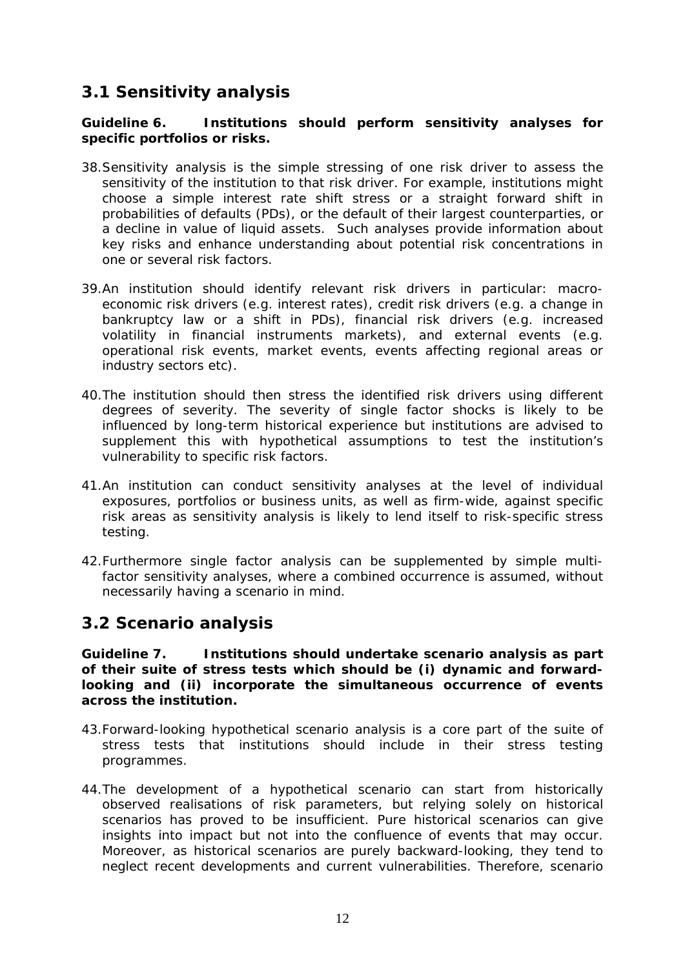### <span id="page-11-0"></span>*3.1 Sensitivity analysis*

#### **Guideline 6. Institutions should perform sensitivity analyses for specific portfolios or risks.**

- 38.Sensitivity analysis is the simple stressing of one risk driver to assess the sensitivity of the institution to that risk driver. For example, institutions might choose a simple interest rate shift stress or a straight forward shift in probabilities of defaults (PDs), or the default of their largest counterparties, or a decline in value of liquid assets. Such analyses provide information about key risks and enhance understanding about potential risk concentrations in one or several risk factors.
- 39.An institution should identify relevant risk drivers in particular: macroeconomic risk drivers (e.g. interest rates), credit risk drivers (e.g. a change in bankruptcy law or a shift in PDs), financial risk drivers (e.g. increased volatility in financial instruments markets), and external events (e.g. operational risk events, market events, events affecting regional areas or industry sectors etc).
- 40.The institution should then stress the identified risk drivers using different degrees of severity. The severity of single factor shocks is likely to be influenced by long-term historical experience but institutions are advised to supplement this with hypothetical assumptions to test the institution's vulnerability to specific risk factors.
- 41.An institution can conduct sensitivity analyses at the level of individual exposures, portfolios or business units, as well as firm-wide, against specific risk areas as sensitivity analysis is likely to lend itself to risk-specific stress testing.
- 42.Furthermore single factor analysis can be supplemented by simple multifactor sensitivity analyses, where a combined occurrence is assumed, without necessarily having a scenario in mind.

#### *3.2 Scenario analysis*

**Guideline 7. Institutions should undertake scenario analysis as part of their suite of stress tests which should be (i) dynamic and forwardlooking and (ii) incorporate the simultaneous occurrence of events across the institution.** 

- 43.Forward-looking hypothetical scenario analysis is a core part of the suite of stress tests that institutions should include in their stress testing programmes.
- 44.The development of a hypothetical scenario can start from historically observed realisations of risk parameters, but relying solely on historical scenarios has proved to be insufficient. Pure historical scenarios can give insights into impact but not into the confluence of events that may occur. Moreover, as historical scenarios are purely backward-looking, they tend to neglect recent developments and current vulnerabilities. Therefore, scenario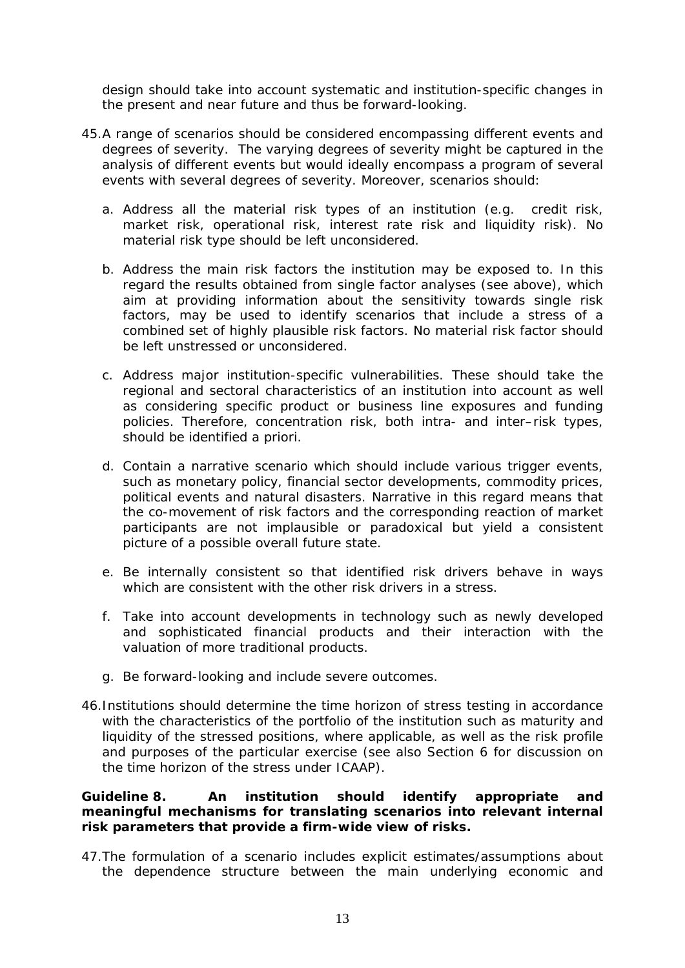design should take into account systematic and institution-specific changes in the present and near future and thus be forward-looking.

- 45.A range of scenarios should be considered encompassing different events and degrees of severity. The varying degrees of severity might be captured in the analysis of different events but would ideally encompass a program of several events with several degrees of severity. Moreover, scenarios should:
	- a. Address all the material risk types of an institution (e.g. credit risk, market risk, operational risk, interest rate risk and liquidity risk). No material risk type should be left unconsidered.
	- b. Address the main risk factors the institution may be exposed to. In this regard the results obtained from single factor analyses (see above), which aim at providing information about the sensitivity towards single risk factors, may be used to identify scenarios that include a stress of a combined set of highly plausible risk factors. No material risk factor should be left unstressed or unconsidered.
	- c. Address major institution-specific vulnerabilities. These should take the regional and sectoral characteristics of an institution into account as well as considering specific product or business line exposures and funding policies. Therefore, concentration risk, both intra- and inter–risk types, should be identified a priori.
	- d. Contain a narrative scenario which should include various trigger events, such as monetary policy, financial sector developments, commodity prices, political events and natural disasters. Narrative in this regard means that the co-movement of risk factors and the corresponding reaction of market participants are not implausible or paradoxical but yield a consistent picture of a possible overall future state.
	- e. Be internally consistent so that identified risk drivers behave in ways which are consistent with the other risk drivers in a stress.
	- f. Take into account developments in technology such as newly developed and sophisticated financial products and their interaction with the valuation of more traditional products.
	- g. Be forward-looking and include severe outcomes.
- 46.Institutions should determine the time horizon of stress testing in accordance with the characteristics of the portfolio of the institution such as maturity and liquidity of the stressed positions, where applicable, as well as the risk profile and purposes of the particular exercise (see also Section 6 for discussion on the time horizon of the stress under ICAAP).

#### **Guideline 8. An institution should identify appropriate and meaningful mechanisms for translating scenarios into relevant internal risk parameters that provide a firm-wide view of risks.**

47.The formulation of a scenario includes explicit estimates/assumptions about the dependence structure between the main underlying economic and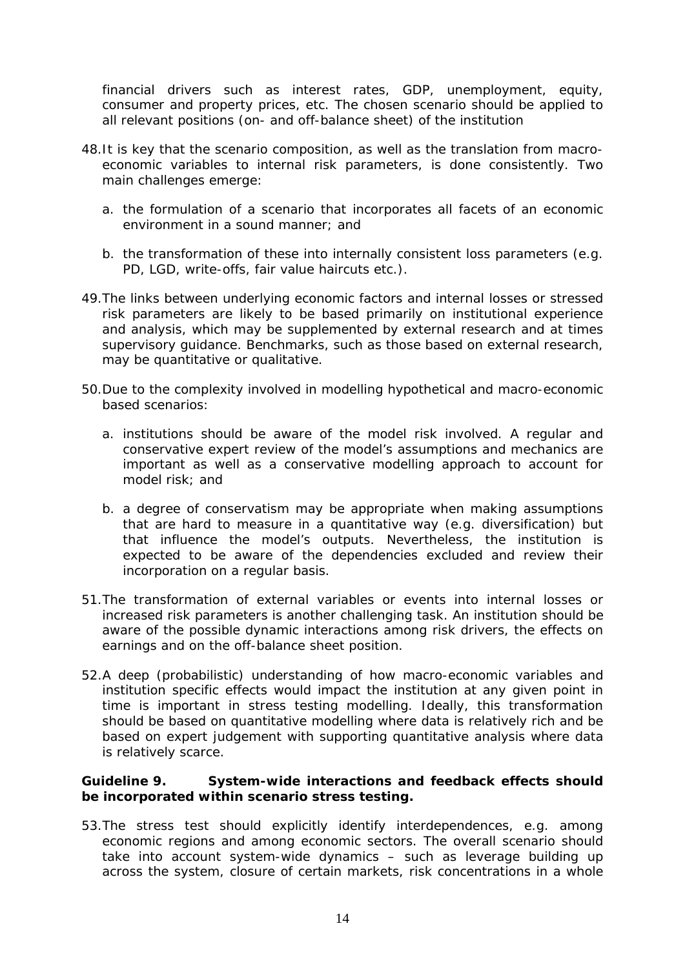financial drivers such as interest rates, GDP, unemployment, equity, consumer and property prices, etc. The chosen scenario should be applied to all relevant positions (on- and off-balance sheet) of the institution

- 48.It is key that the scenario composition, as well as the translation from macroeconomic variables to internal risk parameters, is done consistently. Two main challenges emerge:
	- a. the formulation of a scenario that incorporates all facets of an economic environment in a sound manner; and
	- b. the transformation of these into internally consistent loss parameters (e.g. PD, LGD, write-offs, fair value haircuts etc.).
- 49.The links between underlying economic factors and internal losses or stressed risk parameters are likely to be based primarily on institutional experience and analysis, which may be supplemented by external research and at times supervisory guidance. Benchmarks, such as those based on external research, may be quantitative or qualitative.
- 50.Due to the complexity involved in modelling hypothetical and macro-economic based scenarios:
	- a. institutions should be aware of the model risk involved. A regular and conservative expert review of the model's assumptions and mechanics are important as well as a conservative modelling approach to account for model risk; and
	- b. a degree of conservatism may be appropriate when making assumptions that are hard to measure in a quantitative way (e.g. diversification) but that influence the model's outputs. Nevertheless, the institution is expected to be aware of the dependencies excluded and review their incorporation on a regular basis.
- 51.The transformation of external variables or events into internal losses or increased risk parameters is another challenging task. An institution should be aware of the possible dynamic interactions among risk drivers, the effects on earnings and on the off-balance sheet position.
- 52.A deep (probabilistic) understanding of how macro-economic variables and institution specific effects would impact the institution at any given point in time is important in stress testing modelling. Ideally, this transformation should be based on quantitative modelling where data is relatively rich and be based on expert judgement with supporting quantitative analysis where data is relatively scarce.

#### **Guideline 9. System-wide interactions and feedback effects should be incorporated within scenario stress testing.**

53.The stress test should explicitly identify interdependences, e.g. among economic regions and among economic sectors. The overall scenario should take into account system-wide dynamics – such as leverage building up across the system, closure of certain markets, risk concentrations in a whole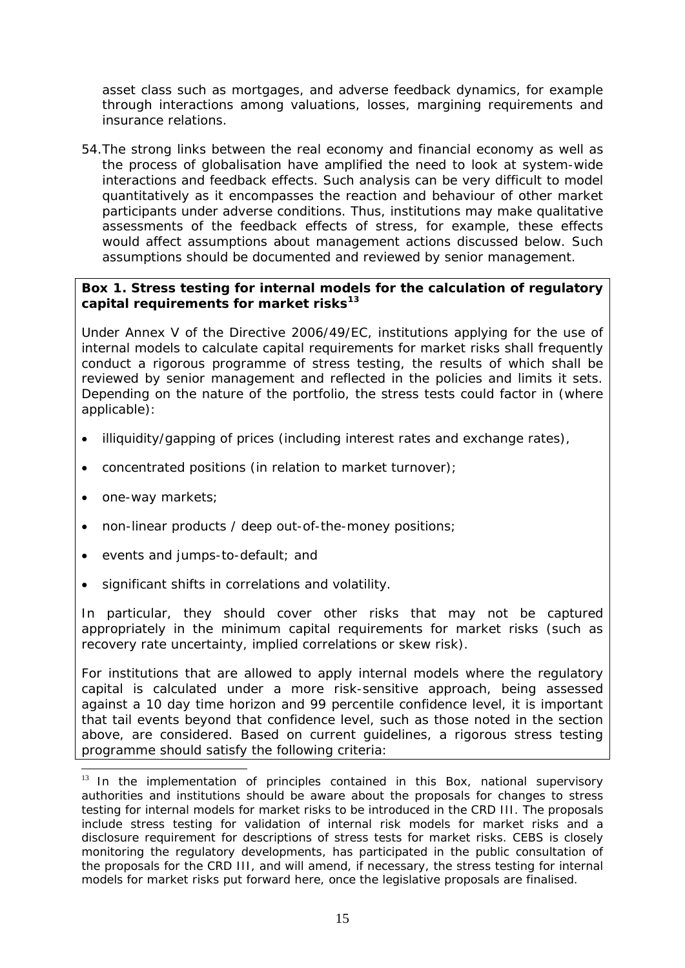asset class such as mortgages, and adverse feedback dynamics, for example through interactions among valuations, losses, margining requirements and insurance relations.

54.The strong links between the real economy and financial economy as well as the process of globalisation have amplified the need to look at system-wide interactions and feedback effects. Such analysis can be very difficult to model quantitatively as it encompasses the reaction and behaviour of other market participants under adverse conditions. Thus, institutions may make qualitative assessments of the feedback effects of stress, for example, these effects would affect assumptions about management actions discussed below. Such assumptions should be documented and reviewed by senior management.

#### **Box 1. Stress testing for internal models for the calculation of regulatory capital requirements for market risks[13](#page-14-0)**

Under Annex V of the Directive 2006/49/EC, institutions applying for the use of internal models to calculate capital requirements for market risks shall frequently conduct a rigorous programme of stress testing, the results of which shall be reviewed by senior management and reflected in the policies and limits it sets. Depending on the nature of the portfolio, the stress tests could factor in (where applicable):

- illiquidity/gapping of prices (including interest rates and exchange rates),
- concentrated positions (in relation to market turnover);
- one-way markets;

-

- non-linear products / deep out-of-the-money positions;
- events and jumps-to-default; and
- significant shifts in correlations and volatility.

In particular, they should cover other risks that may not be captured appropriately in the minimum capital requirements for market risks (such as recovery rate uncertainty, implied correlations or skew risk).

For institutions that are allowed to apply internal models where the regulatory capital is calculated under a more risk-sensitive approach, being assessed against a 10 day time horizon and 99 percentile confidence level, it is important that tail events beyond that confidence level, such as those noted in the section above, are considered. Based on current guidelines, a rigorous stress testing programme should satisfy the following criteria:

<span id="page-14-0"></span> $13$  In the implementation of principles contained in this Box, national supervisory authorities and institutions should be aware about the proposals for changes to stress testing for internal models for market risks to be introduced in the CRD III. The proposals include stress testing for validation of internal risk models for market risks and a disclosure requirement for descriptions of stress tests for market risks. CEBS is closely monitoring the regulatory developments, has participated in the public consultation of the proposals for the CRD III, and will amend, if necessary, the stress testing for internal models for market risks put forward here, once the legislative proposals are finalised.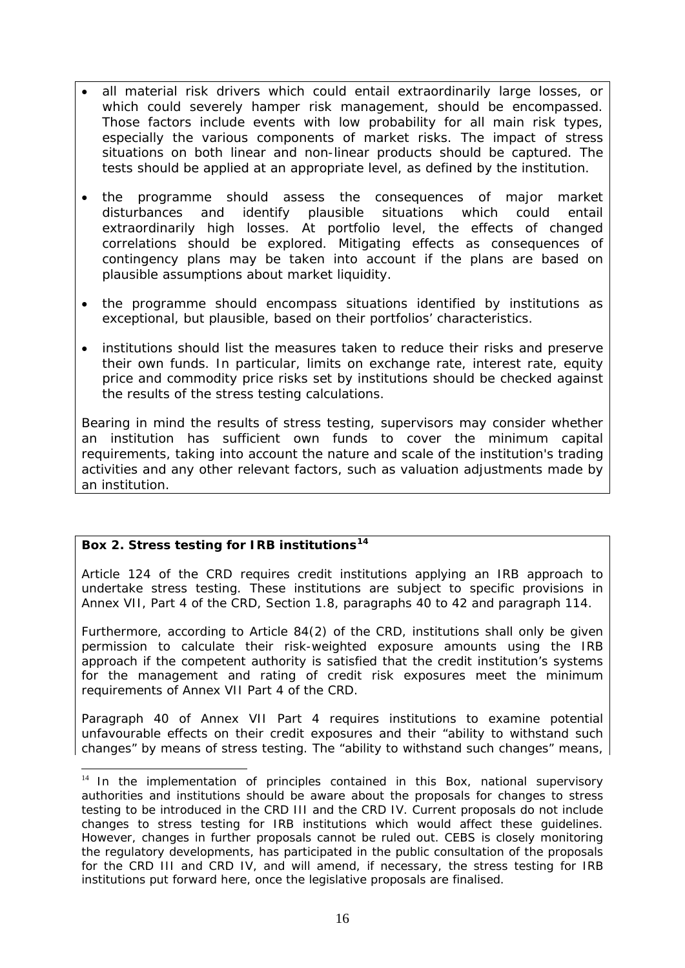- all material risk drivers which could entail extraordinarily large losses, or which could severely hamper risk management, should be encompassed. Those factors include events with low probability for all main risk types, especially the various components of market risks. The impact of stress situations on both linear and non-linear products should be captured. The tests should be applied at an appropriate level, as defined by the institution.
- the programme should assess the consequences of major market disturbances and identify plausible situations which could entail extraordinarily high losses. At portfolio level, the effects of changed correlations should be explored. Mitigating effects as consequences of contingency plans may be taken into account if the plans are based on plausible assumptions about market liquidity.
- the programme should encompass situations identified by institutions as exceptional, but plausible, based on their portfolios' characteristics.
- institutions should list the measures taken to reduce their risks and preserve their own funds. In particular, limits on exchange rate, interest rate, equity price and commodity price risks set by institutions should be checked against the results of the stress testing calculations.

Bearing in mind the results of stress testing, supervisors may consider whether an institution has sufficient own funds to cover the minimum capital requirements, taking into account the nature and scale of the institution's trading activities and any other relevant factors, such as valuation adjustments made by an institution.

#### **Box 2. Stress testing for IRB institutions[14](#page-15-0)**

-

Article 124 of the CRD requires credit institutions applying an IRB approach to undertake stress testing. These institutions are subject to specific provisions in Annex VII, Part 4 of the CRD, Section 1.8, paragraphs 40 to 42 and paragraph 114.

Furthermore, according to Article 84(2) of the CRD, institutions shall only be given permission to calculate their risk-weighted exposure amounts using the IRB approach if the competent authority is satisfied that the credit institution's systems for the management and rating of credit risk exposures meet the minimum requirements of Annex VII Part 4 of the CRD.

Paragraph 40 of Annex VII Part 4 requires institutions to examine potential unfavourable effects on their credit exposures and their "ability to withstand such changes" by means of stress testing. The "ability to withstand such changes" means,

<span id="page-15-0"></span> $14$  In the implementation of principles contained in this Box, national supervisory authorities and institutions should be aware about the proposals for changes to stress testing to be introduced in the CRD III and the CRD IV. Current proposals do not include changes to stress testing for IRB institutions which would affect these guidelines. However, changes in further proposals cannot be ruled out. CEBS is closely monitoring the regulatory developments, has participated in the public consultation of the proposals for the CRD III and CRD IV, and will amend, if necessary, the stress testing for IRB institutions put forward here, once the legislative proposals are finalised.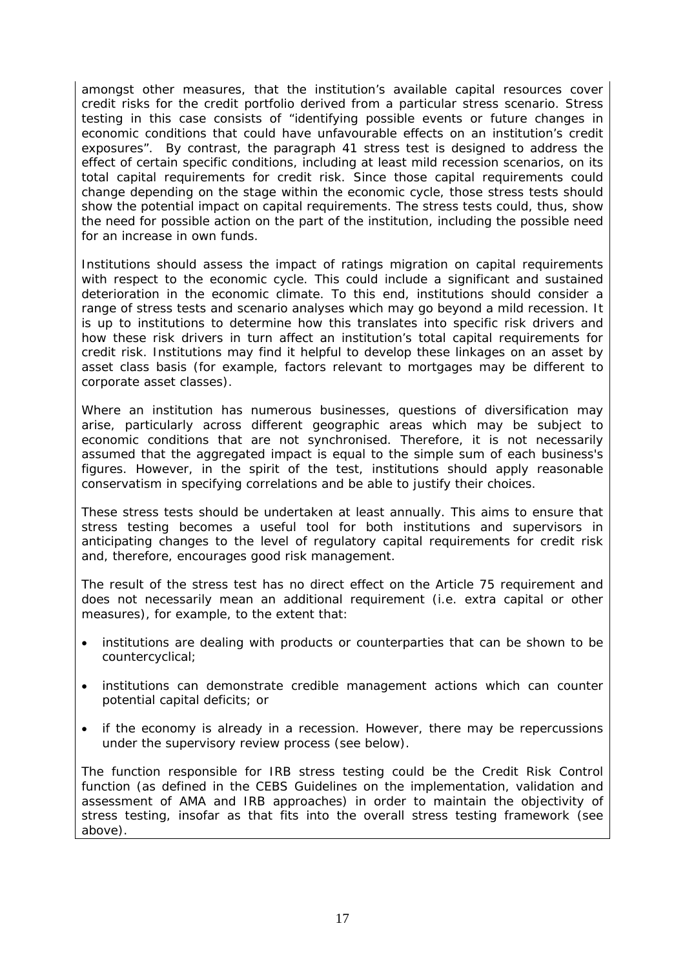amongst other measures, that the institution's available capital resources cover credit risks for the credit portfolio derived from a particular stress scenario. Stress testing in this case consists of "identifying possible events or future changes in economic conditions that could have unfavourable effects on an institution's credit exposures". By contrast, the paragraph 41 stress test is designed to address the effect of certain specific conditions, including at least mild recession scenarios, on its total capital requirements for credit risk. Since those capital requirements could change depending on the stage within the economic cycle, those stress tests should show the potential impact on capital requirements. The stress tests could, thus, show the need for possible action on the part of the institution, including the possible need for an increase in own funds.

Institutions should assess the impact of ratings migration on capital requirements with respect to the economic cycle. This could include a significant and sustained deterioration in the economic climate. To this end, institutions should consider a range of stress tests and scenario analyses which may go beyond a mild recession. It is up to institutions to determine how this translates into specific risk drivers and how these risk drivers in turn affect an institution's total capital requirements for credit risk. Institutions may find it helpful to develop these linkages on an asset by asset class basis (for example, factors relevant to mortgages may be different to corporate asset classes).

Where an institution has numerous businesses, questions of diversification may arise, particularly across different geographic areas which may be subject to economic conditions that are not synchronised. Therefore, it is not necessarily assumed that the aggregated impact is equal to the simple sum of each business's figures. However, in the spirit of the test, institutions should apply reasonable conservatism in specifying correlations and be able to justify their choices.

These stress tests should be undertaken at least annually. This aims to ensure that stress testing becomes a useful tool for both institutions and supervisors in anticipating changes to the level of regulatory capital requirements for credit risk and, therefore, encourages good risk management.

The result of the stress test has no direct effect on the Article 75 requirement and does not necessarily mean an additional requirement (i.e. extra capital or other measures), for example, to the extent that:

- institutions are dealing with products or counterparties that can be shown to be countercyclical;
- institutions can demonstrate credible management actions which can counter potential capital deficits; or
- if the economy is already in a recession. However, there may be repercussions under the supervisory review process (see below).

The function responsible for IRB stress testing could be the Credit Risk Control function (as defined in the CEBS Guidelines on the implementation, validation and assessment of AMA and IRB approaches) in order to maintain the objectivity of stress testing, insofar as that fits into the overall stress testing framework (see above).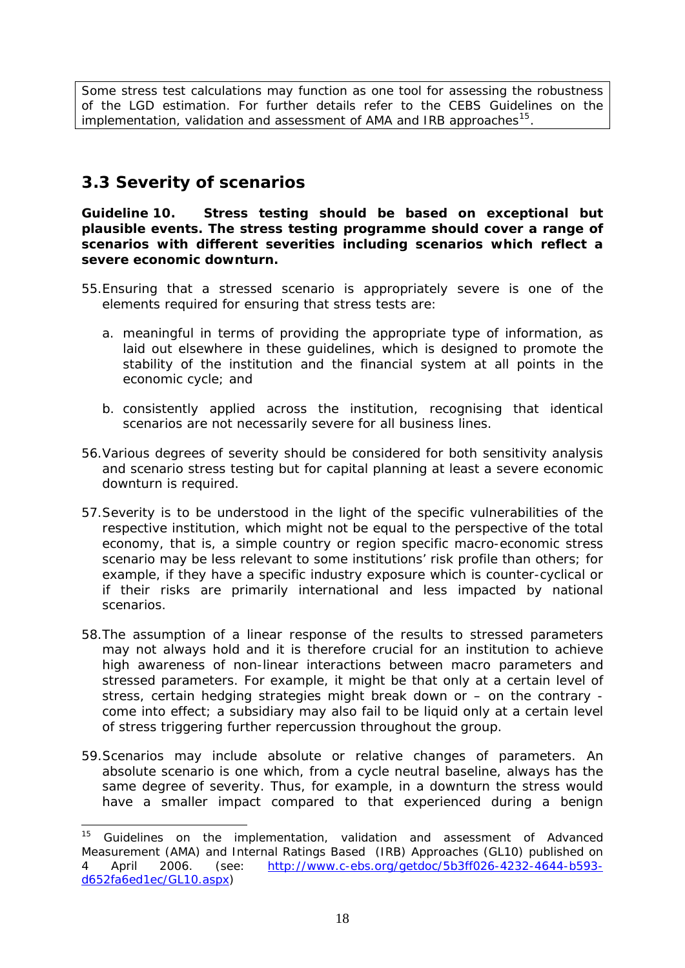<span id="page-17-0"></span>Some stress test calculations may function as one tool for assessing the robustness of the LGD estimation. For further details refer to the CEBS Guidelines on the implementation, validation and assessment of AMA and IRB approaches<sup>[15](#page-17-1)</sup>.

### *3.3 Severity of scenarios*

1

**Guideline 10. Stress testing should be based on exceptional but plausible events. The stress testing programme should cover a range of scenarios with different severities including scenarios which reflect a severe economic downturn.** 

- 55.Ensuring that a stressed scenario is appropriately severe is one of the elements required for ensuring that stress tests are:
	- a. meaningful in terms of providing the appropriate type of information, as laid out elsewhere in these guidelines, which is designed to promote the stability of the institution and the financial system at all points in the economic cycle; and
	- b. consistently applied across the institution, recognising that identical scenarios are not necessarily severe for all business lines.
- 56.Various degrees of severity should be considered for both sensitivity analysis and scenario stress testing but for capital planning at least a severe economic downturn is required.
- 57.Severity is to be understood in the light of the specific vulnerabilities of the respective institution, which might not be equal to the perspective of the total economy, that is, a simple country or region specific macro-economic stress scenario may be less relevant to some institutions' risk profile than others; for example, if they have a specific industry exposure which is counter-cyclical or if their risks are primarily international and less impacted by national scenarios.
- 58.The assumption of a linear response of the results to stressed parameters may not always hold and it is therefore crucial for an institution to achieve high awareness of non-linear interactions between macro parameters and stressed parameters. For example, it might be that only at a certain level of stress, certain hedging strategies might break down or – on the contrary come into effect; a subsidiary may also fail to be liquid only at a certain level of stress triggering further repercussion throughout the group.
- 59.Scenarios may include absolute or relative changes of parameters. An absolute scenario is one which, from a cycle neutral baseline, always has the same degree of severity. Thus, for example, in a downturn the stress would have a smaller impact compared to that experienced during a benign

<span id="page-17-1"></span> $15$  Guidelines on the implementation, validation and assessment of Advanced Measurement (AMA) and Internal Ratings Based (IRB) Approaches (GL10) published on 4 April 2006. (see: [http://www.c-ebs.org/getdoc/5b3ff026-4232-4644-b593](http://www.c-ebs.org/getdoc/5b3ff026-4232-4644-b593-d652fa6ed1ec/GL10.aspx) [d652fa6ed1ec/GL10.aspx](http://www.c-ebs.org/getdoc/5b3ff026-4232-4644-b593-d652fa6ed1ec/GL10.aspx))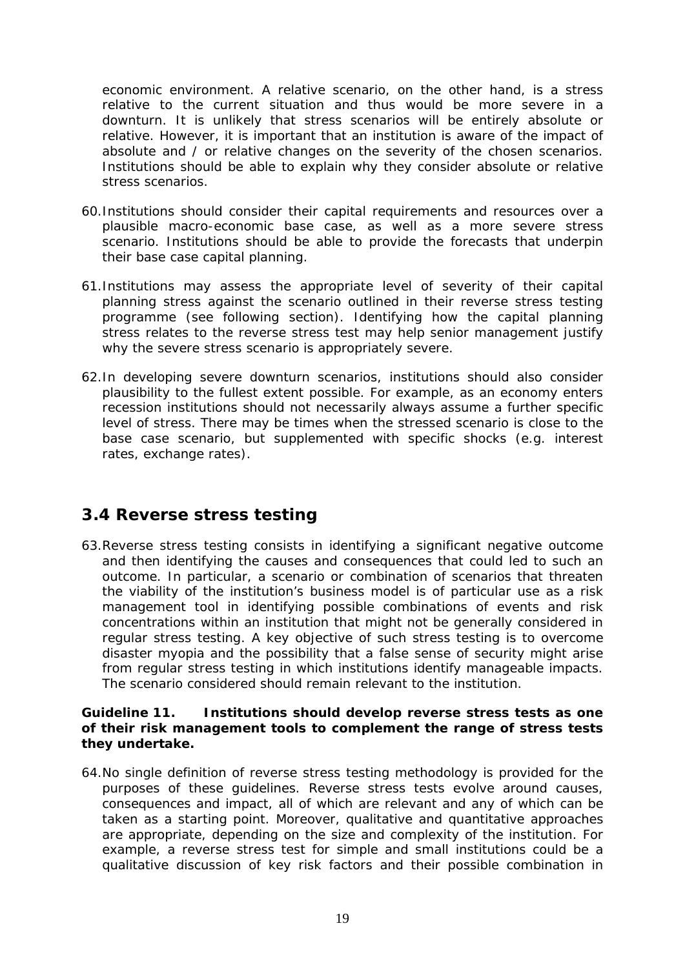<span id="page-18-0"></span>economic environment. A relative scenario, on the other hand, is a stress relative to the current situation and thus would be more severe in a downturn. It is unlikely that stress scenarios will be entirely absolute or relative. However, it is important that an institution is aware of the impact of absolute and / or relative changes on the severity of the chosen scenarios. Institutions should be able to explain why they consider absolute or relative stress scenarios.

- 60.Institutions should consider their capital requirements and resources over a plausible macro-economic base case, as well as a more severe stress scenario. Institutions should be able to provide the forecasts that underpin their base case capital planning.
- 61.Institutions may assess the appropriate level of severity of their capital planning stress against the scenario outlined in their reverse stress testing programme (see following section). Identifying how the capital planning stress relates to the reverse stress test may help senior management justify why the severe stress scenario is appropriately severe.
- 62.In developing severe downturn scenarios, institutions should also consider plausibility to the fullest extent possible. For example, as an economy enters recession institutions should not necessarily always assume a further specific level of stress. There may be times when the stressed scenario is close to the base case scenario, but supplemented with specific shocks (e.g. interest rates, exchange rates).

### *3.4 Reverse stress testing*

63.Reverse stress testing consists in identifying a significant negative outcome and then identifying the causes and consequences that could led to such an outcome. In particular, a scenario or combination of scenarios that threaten the viability of the institution's business model is of particular use as a risk management tool in identifying possible combinations of events and risk concentrations within an institution that might not be generally considered in regular stress testing. A key objective of such stress testing is to overcome disaster myopia and the possibility that a false sense of security might arise from regular stress testing in which institutions identify manageable impacts. The scenario considered should remain relevant to the institution.

#### **Guideline 11. Institutions should develop reverse stress tests as one of their risk management tools to complement the range of stress tests they undertake.**

64.No single definition of reverse stress testing methodology is provided for the purposes of these guidelines. Reverse stress tests evolve around causes, consequences and impact, all of which are relevant and any of which can be taken as a starting point. Moreover, qualitative and quantitative approaches are appropriate, depending on the size and complexity of the institution. For example, a reverse stress test for simple and small institutions could be a qualitative discussion of key risk factors and their possible combination in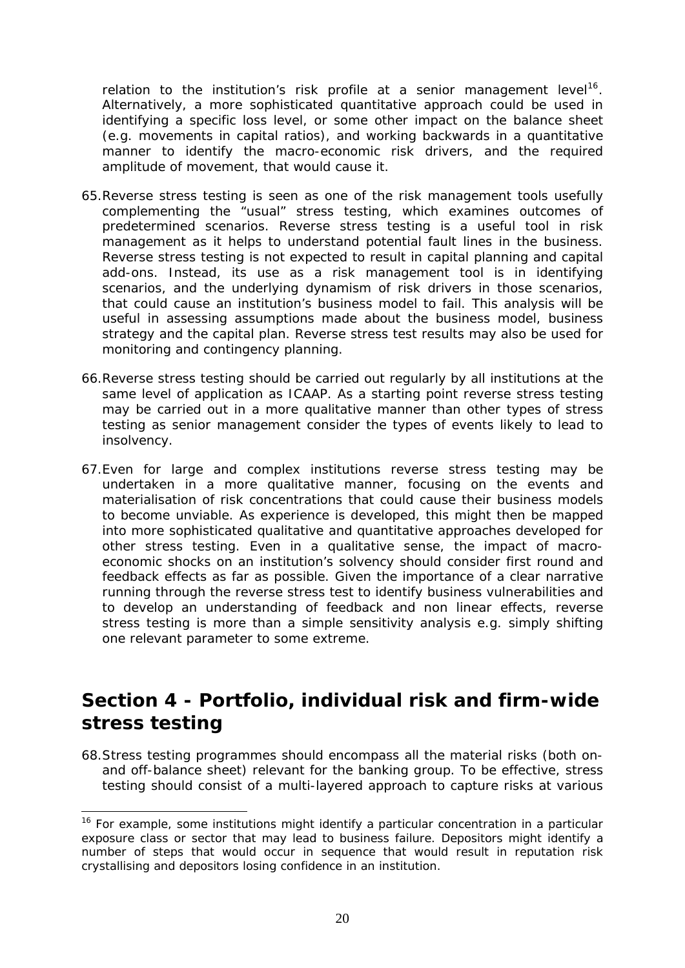<span id="page-19-0"></span>relation to the institution's risk profile at a senior management level<sup>16</sup>. Alternatively, a more sophisticated quantitative approach could be used in identifying a specific loss level, or some other impact on the balance sheet (e.g. movements in capital ratios), and working backwards in a quantitative manner to identify the macro-economic risk drivers, and the required amplitude of movement, that would cause it.

- 65.Reverse stress testing is seen as one of the risk management tools usefully complementing the "usual" stress testing, which examines outcomes of predetermined scenarios. Reverse stress testing is a useful tool in risk management as it helps to understand potential fault lines in the business. Reverse stress testing is not expected to result in capital planning and capital add-ons. Instead, its use as a risk management tool is in identifying scenarios, and the underlying dynamism of risk drivers in those scenarios, that could cause an institution's business model to fail. This analysis will be useful in assessing assumptions made about the business model, business strategy and the capital plan. Reverse stress test results may also be used for monitoring and contingency planning.
- 66.Reverse stress testing should be carried out regularly by all institutions at the same level of application as ICAAP. As a starting point reverse stress testing may be carried out in a more qualitative manner than other types of stress testing as senior management consider the types of events likely to lead to insolvency.
- 67.Even for large and complex institutions reverse stress testing may be undertaken in a more qualitative manner, focusing on the events and materialisation of risk concentrations that could cause their business models to become unviable. As experience is developed, this might then be mapped into more sophisticated qualitative and quantitative approaches developed for other stress testing. Even in a qualitative sense, the impact of macroeconomic shocks on an institution's solvency should consider first round and feedback effects as far as possible. Given the importance of a clear narrative running through the reverse stress test to identify business vulnerabilities and to develop an understanding of feedback and non linear effects, reverse stress testing is more than a simple sensitivity analysis e.g. simply shifting one relevant parameter to some extreme.

# **Section 4 - Portfolio, individual risk and firm-wide stress testing**

68.Stress testing programmes should encompass all the material risks (both onand off-balance sheet) relevant for the banking group. To be effective, stress testing should consist of a multi-layered approach to capture risks at various

1

 $16$  For example, some institutions might identify a particular concentration in a particular exposure class or sector that may lead to business failure. Depositors might identify a number of steps that would occur in sequence that would result in reputation risk crystallising and depositors losing confidence in an institution.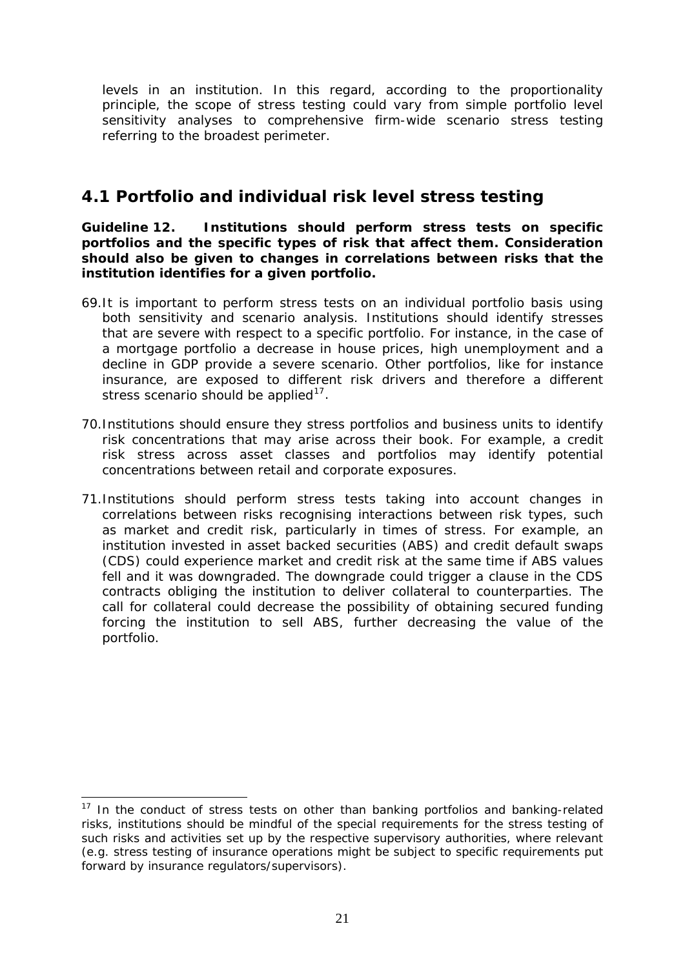<span id="page-20-0"></span>levels in an institution. In this regard, according to the proportionality principle, the scope of stress testing could vary from simple portfolio level sensitivity analyses to comprehensive firm-wide scenario stress testing referring to the broadest perimeter.

### *4.1 Portfolio and individual risk level stress testing*

**Guideline 12. Institutions should perform stress tests on specific portfolios and the specific types of risk that affect them. Consideration should also be given to changes in correlations between risks that the institution identifies for a given portfolio.** 

- 69.It is important to perform stress tests on an individual portfolio basis using both sensitivity and scenario analysis. Institutions should identify stresses that are severe with respect to a specific portfolio. For instance, in the case of a mortgage portfolio a decrease in house prices, high unemployment and a decline in GDP provide a severe scenario. Other portfolios, like for instance insurance, are exposed to different risk drivers and therefore a different stress scenario should be applied<sup>[17](#page-20-1)</sup>.
- 70.Institutions should ensure they stress portfolios and business units to identify risk concentrations that may arise across their book. For example, a credit risk stress across asset classes and portfolios may identify potential concentrations between retail and corporate exposures.
- 71.Institutions should perform stress tests taking into account changes in correlations between risks recognising interactions between risk types, such as market and credit risk, particularly in times of stress. For example, an institution invested in asset backed securities (ABS) and credit default swaps (CDS) could experience market and credit risk at the same time if ABS values fell and it was downgraded. The downgrade could trigger a clause in the CDS contracts obliging the institution to deliver collateral to counterparties. The call for collateral could decrease the possibility of obtaining secured funding forcing the institution to sell ABS, further decreasing the value of the portfolio.

<span id="page-20-1"></span><sup>-</sup><sup>17</sup> In the conduct of stress tests on other than banking portfolios and banking-related risks, institutions should be mindful of the special requirements for the stress testing of such risks and activities set up by the respective supervisory authorities, where relevant (e.g. stress testing of insurance operations might be subject to specific requirements put forward by insurance regulators/supervisors).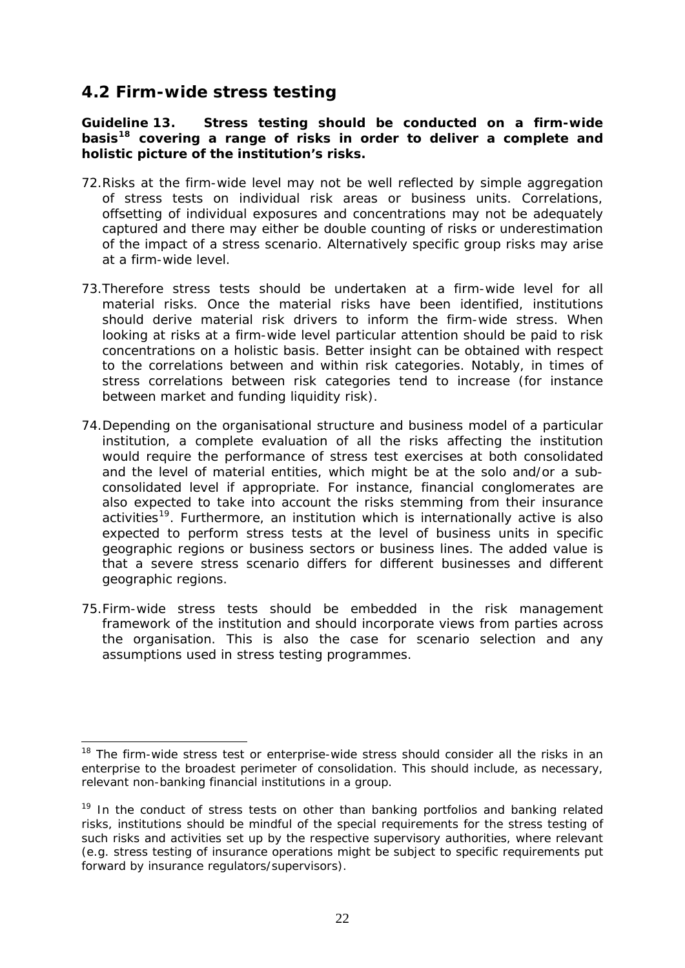### <span id="page-21-0"></span>*4.2 Firm-wide stress testing*

**Guideline 13. Stress testing should be conducted on a firm-wide basis[18](#page-21-1) covering a range of risks in order to deliver a complete and holistic picture of the institution's risks.** 

- 72.Risks at the firm-wide level may not be well reflected by simple aggregation of stress tests on individual risk areas or business units. Correlations, offsetting of individual exposures and concentrations may not be adequately captured and there may either be double counting of risks or underestimation of the impact of a stress scenario. Alternatively specific group risks may arise at a firm-wide level.
- 73.Therefore stress tests should be undertaken at a firm-wide level for all material risks. Once the material risks have been identified, institutions should derive material risk drivers to inform the firm-wide stress. When looking at risks at a firm-wide level particular attention should be paid to risk concentrations on a holistic basis. Better insight can be obtained with respect to the correlations between and within risk categories. Notably, in times of stress correlations between risk categories tend to increase (for instance between market and funding liquidity risk).
- 74.Depending on the organisational structure and business model of a particular institution, a complete evaluation of all the risks affecting the institution would require the performance of stress test exercises at both consolidated and the level of material entities, which might be at the solo and/or a subconsolidated level if appropriate. For instance, financial conglomerates are also expected to take into account the risks stemming from their insurance activities<sup>[19](#page-21-2)</sup>. Furthermore, an institution which is internationally active is also expected to perform stress tests at the level of business units in specific geographic regions or business sectors or business lines. The added value is that a severe stress scenario differs for different businesses and different geographic regions.
- 75.Firm-wide stress tests should be embedded in the risk management framework of the institution and should incorporate views from parties across the organisation. This is also the case for scenario selection and any assumptions used in stress testing programmes.

<span id="page-21-1"></span><sup>-</sup> $18$  The firm-wide stress test or enterprise-wide stress should consider all the risks in an enterprise to the broadest perimeter of consolidation. This should include, as necessary, relevant non-banking financial institutions in a group.

<span id="page-21-2"></span><sup>&</sup>lt;sup>19</sup> In the conduct of stress tests on other than banking portfolios and banking related risks, institutions should be mindful of the special requirements for the stress testing of such risks and activities set up by the respective supervisory authorities, where relevant (e.g. stress testing of insurance operations might be subject to specific requirements put forward by insurance regulators/supervisors).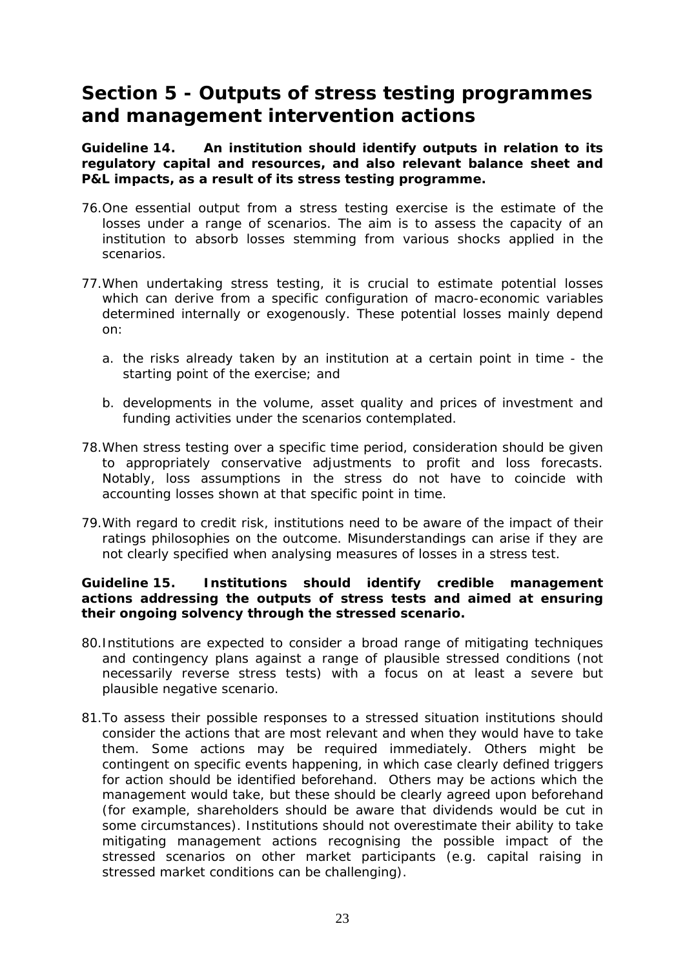## <span id="page-22-0"></span>**Section 5 - Outputs of stress testing programmes and management intervention actions**

**Guideline 14. An institution should identify outputs in relation to its regulatory capital and resources, and also relevant balance sheet and P&L impacts, as a result of its stress testing programme.** 

- 76.One essential output from a stress testing exercise is the estimate of the losses under a range of scenarios. The aim is to assess the capacity of an institution to absorb losses stemming from various shocks applied in the scenarios.
- 77.When undertaking stress testing, it is crucial to estimate potential losses which can derive from a specific configuration of macro-economic variables determined internally or exogenously. These potential losses mainly depend on:
	- a. the risks already taken by an institution at a certain point in time the starting point of the exercise; and
	- b. developments in the volume, asset quality and prices of investment and funding activities under the scenarios contemplated.
- 78.When stress testing over a specific time period, consideration should be given to appropriately conservative adjustments to profit and loss forecasts. Notably, loss assumptions in the stress do not have to coincide with accounting losses shown at that specific point in time.
- 79.With regard to credit risk, institutions need to be aware of the impact of their ratings philosophies on the outcome. Misunderstandings can arise if they are not clearly specified when analysing measures of losses in a stress test.

#### **Guideline 15. Institutions should identify credible management actions addressing the outputs of stress tests and aimed at ensuring their ongoing solvency through the stressed scenario.**

- 80.Institutions are expected to consider a broad range of mitigating techniques and contingency plans against a range of plausible stressed conditions (not necessarily reverse stress tests) with a focus on at least a severe but plausible negative scenario.
- 81.To assess their possible responses to a stressed situation institutions should consider the actions that are most relevant and when they would have to take them. Some actions may be required immediately. Others might be contingent on specific events happening, in which case clearly defined triggers for action should be identified beforehand. Others may be actions which the management would take, but these should be clearly agreed upon beforehand (for example, shareholders should be aware that dividends would be cut in some circumstances). Institutions should not overestimate their ability to take mitigating management actions recognising the possible impact of the stressed scenarios on other market participants (e.g. capital raising in stressed market conditions can be challenging).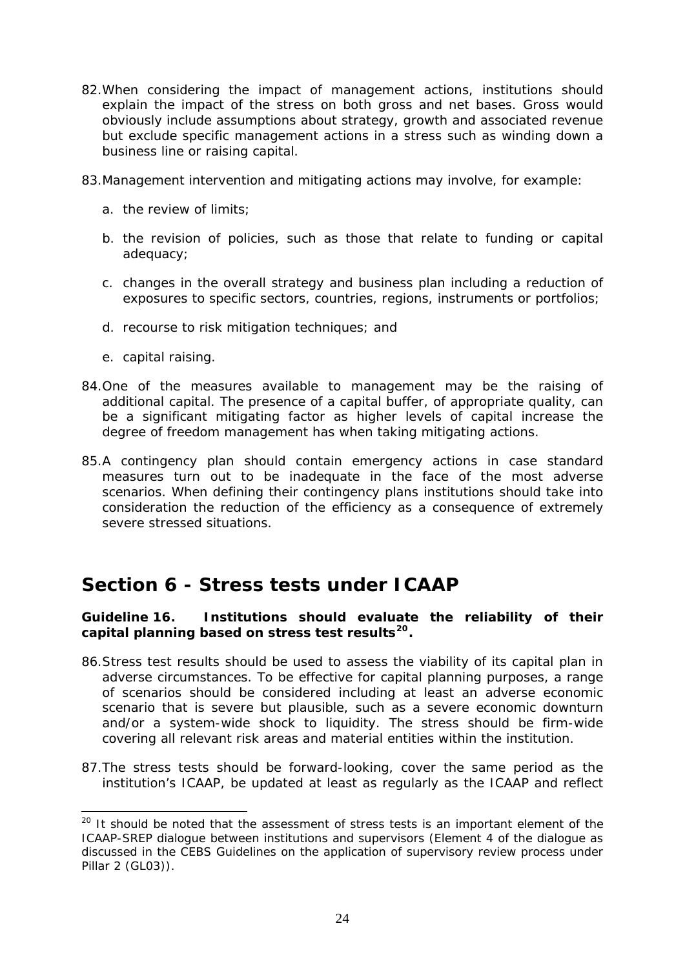- <span id="page-23-0"></span>82.When considering the impact of management actions, institutions should explain the impact of the stress on both gross and net bases. Gross would obviously include assumptions about strategy, growth and associated revenue but exclude specific management actions in a stress such as winding down a business line or raising capital.
- 83.Management intervention and mitigating actions may involve, for example:
	- a. the review of limits;
	- b. the revision of policies, such as those that relate to funding or capital adequacy;
	- c. changes in the overall strategy and business plan including a reduction of exposures to specific sectors, countries, regions, instruments or portfolios;
	- d. recourse to risk mitigation techniques; and
	- e. capital raising.

1

- 84.One of the measures available to management may be the raising of additional capital. The presence of a capital buffer, of appropriate quality, can be a significant mitigating factor as higher levels of capital increase the degree of freedom management has when taking mitigating actions.
- 85.A contingency plan should contain emergency actions in case standard measures turn out to be inadequate in the face of the most adverse scenarios. When defining their contingency plans institutions should take into consideration the reduction of the efficiency as a consequence of extremely severe stressed situations.

### **Section 6 - Stress tests under ICAAP**

#### **Guideline 16. Institutions should evaluate the reliability of their capital planning based on stress test results[20](#page-23-1).**

- 86.Stress test results should be used to assess the viability of its capital plan in adverse circumstances. To be effective for capital planning purposes, a range of scenarios should be considered including at least an adverse economic scenario that is severe but plausible, such as a severe economic downturn and/or a system-wide shock to liquidity. The stress should be firm-wide covering all relevant risk areas and material entities within the institution.
- 87.The stress tests should be forward-looking, cover the same period as the institution's ICAAP, be updated at least as regularly as the ICAAP and reflect

<span id="page-23-1"></span><sup>&</sup>lt;sup>20</sup> It should be noted that the assessment of stress tests is an important element of the ICAAP-SREP dialogue between institutions and supervisors (Element 4 of the dialogue as discussed in the CEBS Guidelines on the application of supervisory review process under Pillar 2 (GL03)).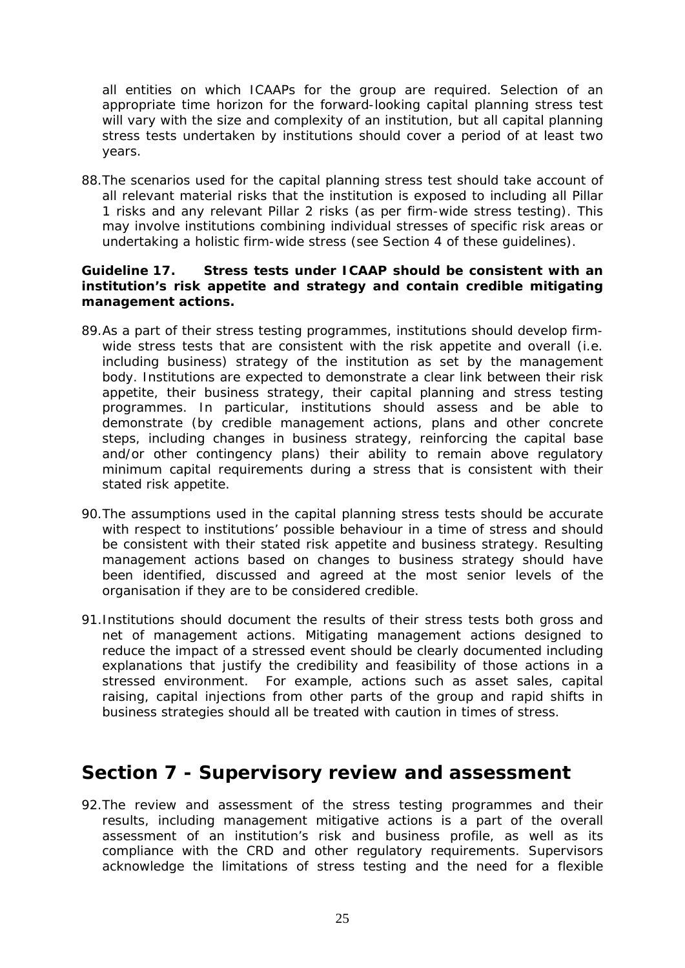<span id="page-24-0"></span>all entities on which ICAAPs for the group are required. Selection of an appropriate time horizon for the forward-looking capital planning stress test will vary with the size and complexity of an institution, but all capital planning stress tests undertaken by institutions should cover a period of at least two years.

88.The scenarios used for the capital planning stress test should take account of all relevant material risks that the institution is exposed to including all Pillar 1 risks and any relevant Pillar 2 risks (as per firm-wide stress testing). This may involve institutions combining individual stresses of specific risk areas or undertaking a holistic firm-wide stress (see Section 4 of these guidelines).

#### **Guideline 17. Stress tests under ICAAP should be consistent with an institution's risk appetite and strategy and contain credible mitigating management actions.**

- 89.As a part of their stress testing programmes, institutions should develop firmwide stress tests that are consistent with the risk appetite and overall (i.e. including business) strategy of the institution as set by the management body. Institutions are expected to demonstrate a clear link between their risk appetite, their business strategy, their capital planning and stress testing programmes. In particular, institutions should assess and be able to demonstrate (by credible management actions, plans and other concrete steps, including changes in business strategy, reinforcing the capital base and/or other contingency plans) their ability to remain above regulatory minimum capital requirements during a stress that is consistent with their stated risk appetite.
- 90.The assumptions used in the capital planning stress tests should be accurate with respect to institutions' possible behaviour in a time of stress and should be consistent with their stated risk appetite and business strategy. Resulting management actions based on changes to business strategy should have been identified, discussed and agreed at the most senior levels of the organisation if they are to be considered credible.
- 91.Institutions should document the results of their stress tests both gross and net of management actions. Mitigating management actions designed to reduce the impact of a stressed event should be clearly documented including explanations that justify the credibility and feasibility of those actions in a stressed environment. For example, actions such as asset sales, capital raising, capital injections from other parts of the group and rapid shifts in business strategies should all be treated with caution in times of stress.

### **Section 7 - Supervisory review and assessment**

92.The review and assessment of the stress testing programmes and their results, including management mitigative actions is a part of the overall assessment of an institution's risk and business profile, as well as its compliance with the CRD and other regulatory requirements. Supervisors acknowledge the limitations of stress testing and the need for a flexible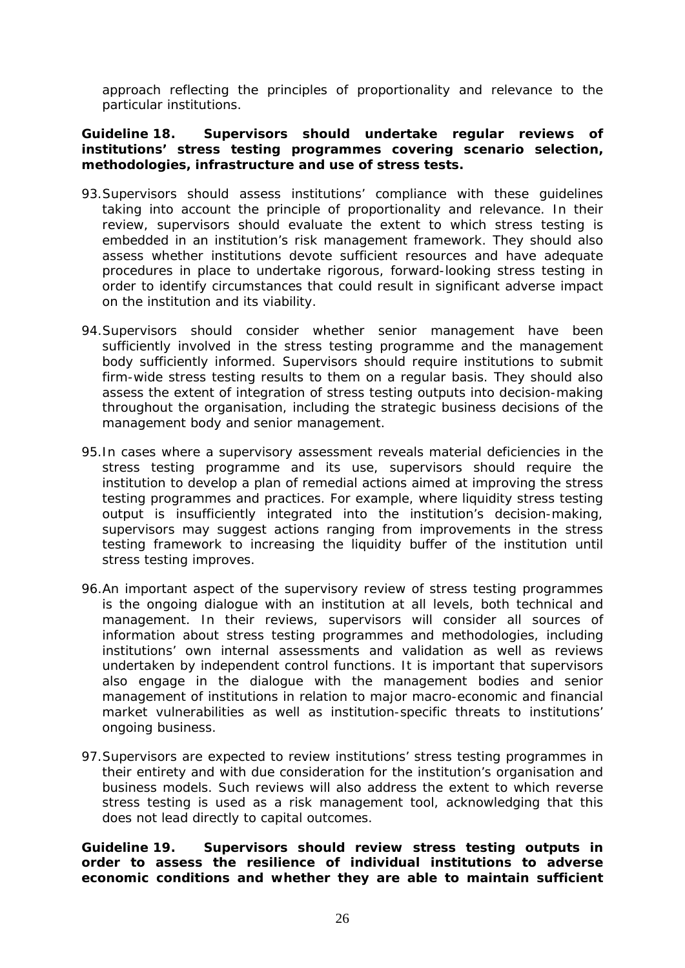approach reflecting the principles of proportionality and relevance to the particular institutions.

#### **Guideline 18. Supervisors should undertake regular reviews of institutions' stress testing programmes covering scenario selection, methodologies, infrastructure and use of stress tests.**

- 93.Supervisors should assess institutions' compliance with these guidelines taking into account the principle of proportionality and relevance. In their review, supervisors should evaluate the extent to which stress testing is embedded in an institution's risk management framework. They should also assess whether institutions devote sufficient resources and have adequate procedures in place to undertake rigorous, forward-looking stress testing in order to identify circumstances that could result in significant adverse impact on the institution and its viability.
- 94.Supervisors should consider whether senior management have been sufficiently involved in the stress testing programme and the management body sufficiently informed. Supervisors should require institutions to submit firm-wide stress testing results to them on a regular basis. They should also assess the extent of integration of stress testing outputs into decision-making throughout the organisation, including the strategic business decisions of the management body and senior management.
- 95.In cases where a supervisory assessment reveals material deficiencies in the stress testing programme and its use, supervisors should require the institution to develop a plan of remedial actions aimed at improving the stress testing programmes and practices. For example, where liquidity stress testing output is insufficiently integrated into the institution's decision-making, supervisors may suggest actions ranging from improvements in the stress testing framework to increasing the liquidity buffer of the institution until stress testing improves.
- 96.An important aspect of the supervisory review of stress testing programmes is the ongoing dialogue with an institution at all levels, both technical and management. In their reviews, supervisors will consider all sources of information about stress testing programmes and methodologies, including institutions' own internal assessments and validation as well as reviews undertaken by independent control functions. It is important that supervisors also engage in the dialogue with the management bodies and senior management of institutions in relation to major macro-economic and financial market vulnerabilities as well as institution-specific threats to institutions' ongoing business.
- 97.Supervisors are expected to review institutions' stress testing programmes in their entirety and with due consideration for the institution's organisation and business models. Such reviews will also address the extent to which reverse stress testing is used as a risk management tool, acknowledging that this does not lead directly to capital outcomes.

**Guideline 19. Supervisors should review stress testing outputs in order to assess the resilience of individual institutions to adverse economic conditions and whether they are able to maintain sufficient**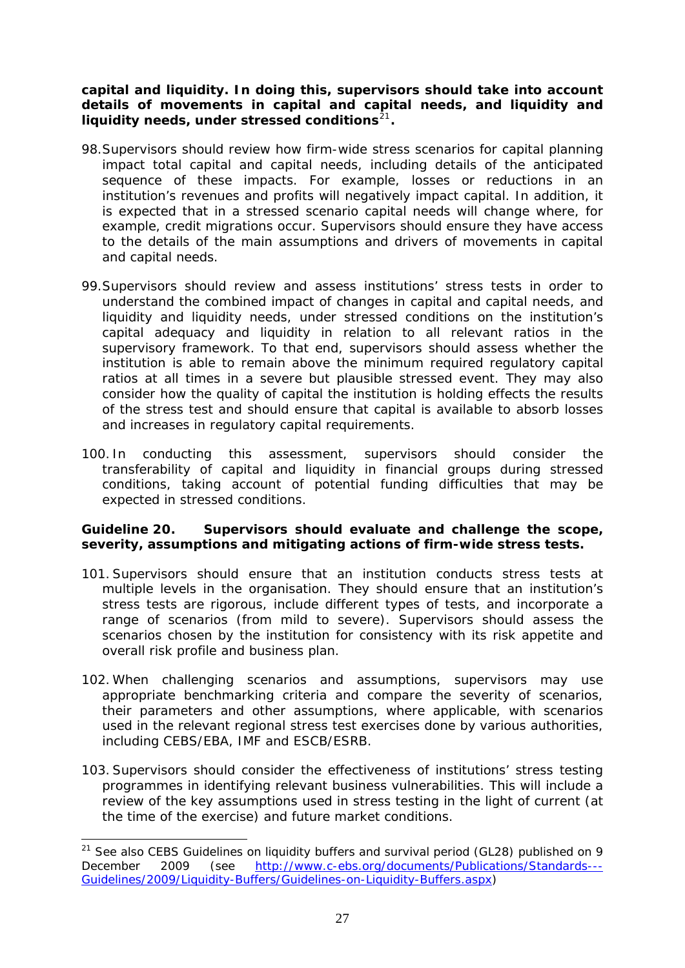**capital and liquidity. In doing this, supervisors should take into account details of movements in capital and capital needs, and liquidity and liquidity needs, under stressed conditions**<sup>21</sup>**.** 

- 98.Supervisors should review how firm-wide stress scenarios for capital planning impact total capital and capital needs, including details of the anticipated sequence of these impacts. For example, losses or reductions in an institution's revenues and profits will negatively impact capital. In addition, it is expected that in a stressed scenario capital needs will change where, for example, credit migrations occur. Supervisors should ensure they have access to the details of the main assumptions and drivers of movements in capital and capital needs.
- 99.Supervisors should review and assess institutions' stress tests in order to understand the combined impact of changes in capital and capital needs, and liquidity and liquidity needs, under stressed conditions on the institution's capital adequacy and liquidity in relation to all relevant ratios in the supervisory framework. To that end, supervisors should assess whether the institution is able to remain above the minimum required regulatory capital ratios at all times in a severe but plausible stressed event. They may also consider how the quality of capital the institution is holding effects the results of the stress test and should ensure that capital is available to absorb losses and increases in regulatory capital requirements.
- 100. In conducting this assessment, supervisors should consider the transferability of capital and liquidity in financial groups during stressed conditions, taking account of potential funding difficulties that may be expected in stressed conditions.

#### **Guideline 20. Supervisors should evaluate and challenge the scope, severity, assumptions and mitigating actions of firm-wide stress tests.**

- 101. Supervisors should ensure that an institution conducts stress tests at multiple levels in the organisation. They should ensure that an institution's stress tests are rigorous, include different types of tests, and incorporate a range of scenarios (from mild to severe). Supervisors should assess the scenarios chosen by the institution for consistency with its risk appetite and overall risk profile and business plan.
- 102. When challenging scenarios and assumptions, supervisors may use appropriate benchmarking criteria and compare the severity of scenarios, their parameters and other assumptions, where applicable, with scenarios used in the relevant regional stress test exercises done by various authorities, including CEBS/EBA, IMF and ESCB/ESRB.
- 103. Supervisors should consider the effectiveness of institutions' stress testing programmes in identifying relevant business vulnerabilities. This will include a review of the key assumptions used in stress testing in the light of current (at the time of the exercise) and future market conditions.

 $21$  See also CEBS Guidelines on liquidity buffers and survival period (GL28) published on 9 December 2009 (see [http://www.c-ebs.org/documents/Publications/Standards---](http://www.c-ebs.org/documents/Publications/Standards---Guidelines/2009/Liquidity-Buffers/Guidelines-on-Liquidity-Buffers.aspx) [Guidelines/2009/Liquidity-Buffers/Guidelines-on-Liquidity-Buffers.aspx\)](http://www.c-ebs.org/documents/Publications/Standards---Guidelines/2009/Liquidity-Buffers/Guidelines-on-Liquidity-Buffers.aspx)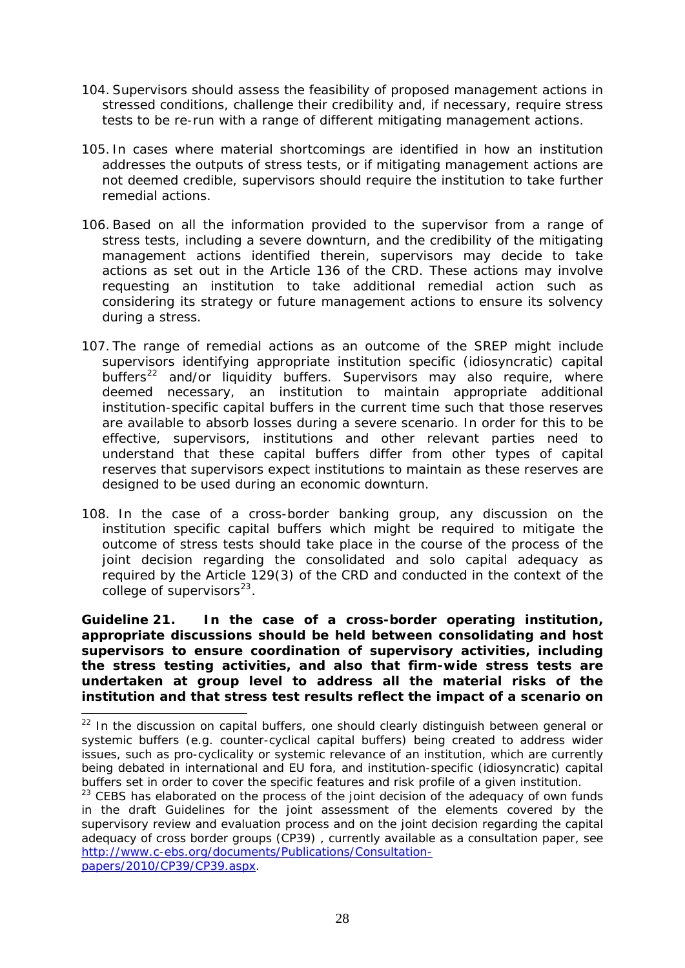- 104. Supervisors should assess the feasibility of proposed management actions in stressed conditions, challenge their credibility and, if necessary, require stress tests to be re-run with a range of different mitigating management actions.
- 105. In cases where material shortcomings are identified in how an institution addresses the outputs of stress tests, or if mitigating management actions are not deemed credible, supervisors should require the institution to take further remedial actions.
- 106. Based on all the information provided to the supervisor from a range of stress tests, including a severe downturn, and the credibility of the mitigating management actions identified therein, supervisors may decide to take actions as set out in the Article 136 of the CRD. These actions may involve requesting an institution to take additional remedial action such as considering its strategy or future management actions to ensure its solvency during a stress.
- 107. The range of remedial actions as an outcome of the SREP might include supervisors identifying appropriate institution specific (idiosyncratic) capital buffers<sup>[22](#page-27-0)</sup> and/or liquidity buffers. Supervisors may also require, where deemed necessary, an institution to maintain appropriate additional institution-specific capital buffers in the current time such that those reserves are available to absorb losses during a severe scenario. In order for this to be effective, supervisors, institutions and other relevant parties need to understand that these capital buffers differ from other types of capital reserves that supervisors expect institutions to maintain as these reserves are designed to be used during an economic downturn.
- 108. In the case of a cross-border banking group, any discussion on the institution specific capital buffers which might be required to mitigate the outcome of stress tests should take place in the course of the process of the joint decision regarding the consolidated and solo capital adequacy as required by the Article 129(3) of the CRD and conducted in the context of the college of supervisors $^{23}$  $^{23}$  $^{23}$ .

**Guideline 21. In the case of a cross-border operating institution, appropriate discussions should be held between consolidating and host supervisors to ensure coordination of supervisory activities, including the stress testing activities, and also that firm-wide stress tests are undertaken at group level to address all the material risks of the institution and that stress test results reflect the impact of a scenario on** 

 $\overline{a}$ 

<span id="page-27-0"></span> $22$  In the discussion on capital buffers, one should clearly distinguish between general or systemic buffers (e.g. counter-cyclical capital buffers) being created to address wider issues, such as pro-cyclicality or systemic relevance of an institution, which are currently being debated in international and EU fora, and institution-specific (idiosyncratic) capital buffers set in order to cover the specific features and risk profile of a given institution.

<span id="page-27-1"></span> $23$  CEBS has elaborated on the process of the joint decision of the adequacy of own funds in the draft Guidelines for the joint assessment of the elements covered by the supervisory review and evaluation process and on the joint decision regarding the capital adequacy of cross border groups (CP39) , currently available as a consultation paper, see [http://www.c-ebs.org/documents/Publications/Consultation](http://www.c-ebs.org/documents/Publications/Consultation-papers/2010/CP39/CP39.aspx)[papers/2010/CP39/CP39.aspx](http://www.c-ebs.org/documents/Publications/Consultation-papers/2010/CP39/CP39.aspx).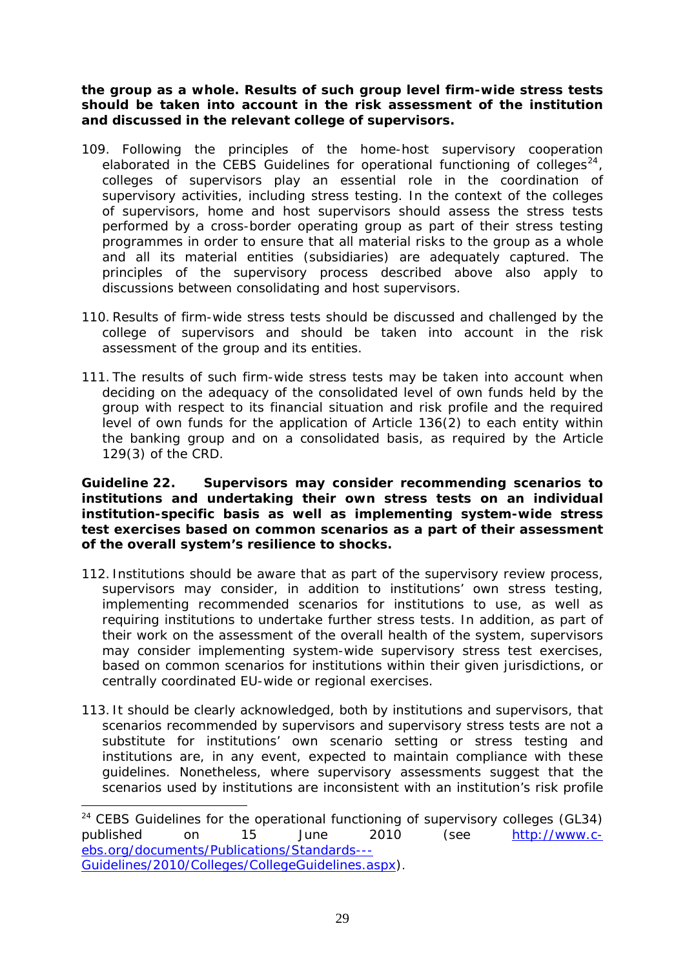**the group as a whole. Results of such group level firm-wide stress tests should be taken into account in the risk assessment of the institution and discussed in the relevant college of supervisors.** 

- 109. Following the principles of the home-host supervisory cooperation elaborated in the CEBS Guidelines for operational functioning of colleges $^{24}$  $^{24}$  $^{24}$ , colleges of supervisors play an essential role in the coordination of supervisory activities, including stress testing. In the context of the colleges of supervisors, home and host supervisors should assess the stress tests performed by a cross-border operating group as part of their stress testing programmes in order to ensure that all material risks to the group as a whole and all its material entities (subsidiaries) are adequately captured. The principles of the supervisory process described above also apply to discussions between consolidating and host supervisors.
- 110. Results of firm-wide stress tests should be discussed and challenged by the college of supervisors and should be taken into account in the risk assessment of the group and its entities.
- 111. The results of such firm-wide stress tests may be taken into account when deciding on the adequacy of the consolidated level of own funds held by the group with respect to its financial situation and risk profile and the required level of own funds for the application of Article 136(2) to each entity within the banking group and on a consolidated basis, as required by the Article 129(3) of the CRD.

**Guideline 22. Supervisors may consider recommending scenarios to institutions and undertaking their own stress tests on an individual institution-specific basis as well as implementing system-wide stress test exercises based on common scenarios as a part of their assessment of the overall system's resilience to shocks.** 

- 112. Institutions should be aware that as part of the supervisory review process, supervisors may consider, in addition to institutions' own stress testing, implementing recommended scenarios for institutions to use, as well as requiring institutions to undertake further stress tests. In addition, as part of their work on the assessment of the overall health of the system, supervisors may consider implementing system-wide supervisory stress test exercises, based on common scenarios for institutions within their given jurisdictions, or centrally coordinated EU-wide or regional exercises.
- 113. It should be clearly acknowledged, both by institutions and supervisors, that scenarios recommended by supervisors and supervisory stress tests are not a substitute for institutions' own scenario setting or stress testing and institutions are, in any event, expected to maintain compliance with these guidelines. Nonetheless, where supervisory assessments suggest that the scenarios used by institutions are inconsistent with an institution's risk profile

 $\overline{a}$ 

<span id="page-28-0"></span> $24$  CEBS Guidelines for the operational functioning of supervisory colleges (GL34) published on 15 June 2010 (see [http://www.c](http://www.c-ebs.org/documents/Publications/Standards---Guidelines/2010/Colleges/CollegeGuidelines.aspx)[ebs.org/documents/Publications/Standards---](http://www.c-ebs.org/documents/Publications/Standards---Guidelines/2010/Colleges/CollegeGuidelines.aspx) [Guidelines/2010/Colleges/CollegeGuidelines.aspx](http://www.c-ebs.org/documents/Publications/Standards---Guidelines/2010/Colleges/CollegeGuidelines.aspx)).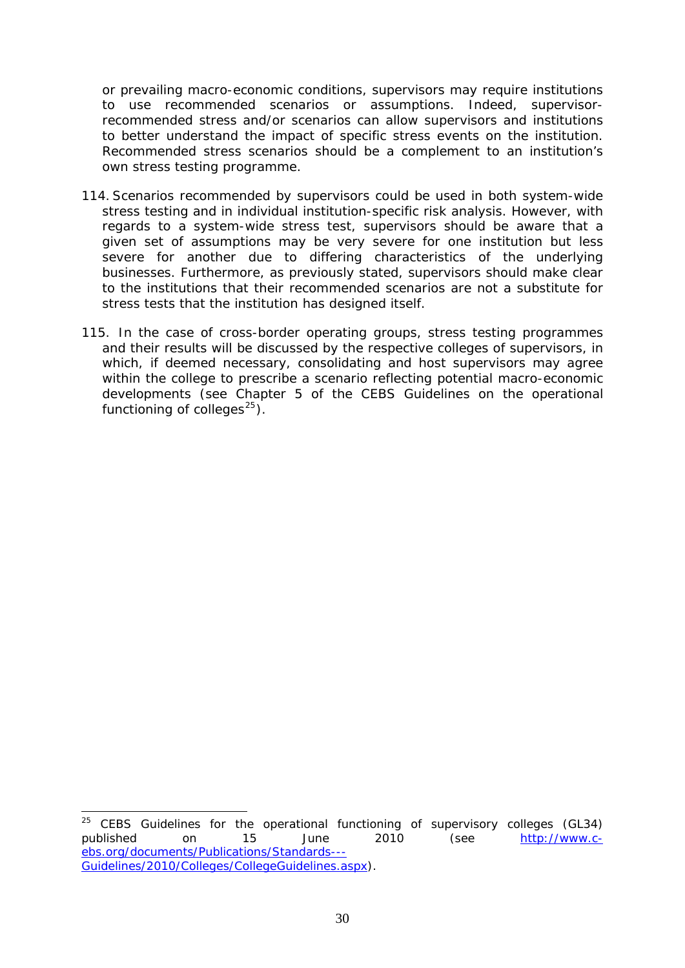or prevailing macro-economic conditions, supervisors may require institutions to use recommended scenarios or assumptions. Indeed, supervisorrecommended stress and/or scenarios can allow supervisors and institutions to better understand the impact of specific stress events on the institution. Recommended stress scenarios should be a complement to an institution's own stress testing programme.

- 114. Scenarios recommended by supervisors could be used in both system-wide stress testing and in individual institution-specific risk analysis. However, with regards to a system-wide stress test, supervisors should be aware that a given set of assumptions may be very severe for one institution but less severe for another due to differing characteristics of the underlying businesses. Furthermore, as previously stated, supervisors should make clear to the institutions that their recommended scenarios are not a substitute for stress tests that the institution has designed itself.
- 115. In the case of cross-border operating groups, stress testing programmes and their results will be discussed by the respective colleges of supervisors, in which, if deemed necessary, consolidating and host supervisors may agree within the college to prescribe a scenario reflecting potential macro-economic developments (see Chapter 5 of the CEBS Guidelines on the operational functioning of colleges $^{25}$  $^{25}$  $^{25}$ ).

1

<span id="page-29-0"></span><sup>&</sup>lt;sup>25</sup> CEBS Guidelines for the operational functioning of supervisory colleges (GL34) published on 15 June 2010 (see [http://www.c](http://www.c-ebs.org/documents/Publications/Standards---Guidelines/2010/Colleges/CollegeGuidelines.aspx)[ebs.org/documents/Publications/Standards---](http://www.c-ebs.org/documents/Publications/Standards---Guidelines/2010/Colleges/CollegeGuidelines.aspx) [Guidelines/2010/Colleges/CollegeGuidelines.aspx\)](http://www.c-ebs.org/documents/Publications/Standards---Guidelines/2010/Colleges/CollegeGuidelines.aspx).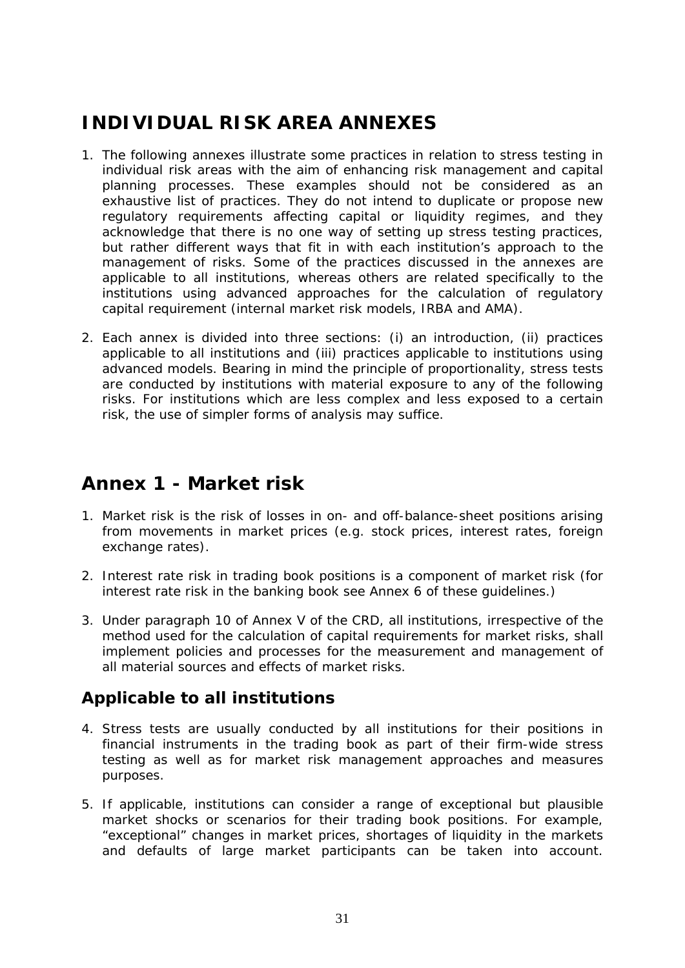# <span id="page-30-0"></span>**INDIVIDUAL RISK AREA ANNEXES**

- 1. The following annexes illustrate some practices in relation to stress testing in individual risk areas with the aim of enhancing risk management and capital planning processes. These examples should not be considered as an exhaustive list of practices. They do not intend to duplicate or propose new regulatory requirements affecting capital or liquidity regimes, and they acknowledge that there is no one way of setting up stress testing practices, but rather different ways that fit in with each institution's approach to the management of risks. Some of the practices discussed in the annexes are applicable to all institutions, whereas others are related specifically to the institutions using advanced approaches for the calculation of regulatory capital requirement (internal market risk models, IRBA and AMA).
- 2. Each annex is divided into three sections: (i) an introduction, (ii) practices applicable to all institutions and (iii) practices applicable to institutions using advanced models. Bearing in mind the principle of proportionality, stress tests are conducted by institutions with material exposure to any of the following risks. For institutions which are less complex and less exposed to a certain risk, the use of simpler forms of analysis may suffice.

### **Annex 1 - Market risk**

- 1. Market risk is the risk of losses in on- and off-balance-sheet positions arising from movements in market prices (e.g. stock prices, interest rates, foreign exchange rates).
- 2. Interest rate risk in trading book positions is a component of market risk (for interest rate risk in the banking book see Annex 6 of these guidelines.)
- 3. Under paragraph 10 of Annex V of the CRD, all institutions, irrespective of the method used for the calculation of capital requirements for market risks, shall implement policies and processes for the measurement and management of all material sources and effects of market risks.

### *Applicable to all institutions*

- 4. Stress tests are usually conducted by all institutions for their positions in financial instruments in the trading book as part of their firm-wide stress testing as well as for market risk management approaches and measures purposes.
- 5. If applicable, institutions can consider a range of exceptional but plausible market shocks or scenarios for their trading book positions. For example, "exceptional" changes in market prices, shortages of liquidity in the markets and defaults of large market participants can be taken into account.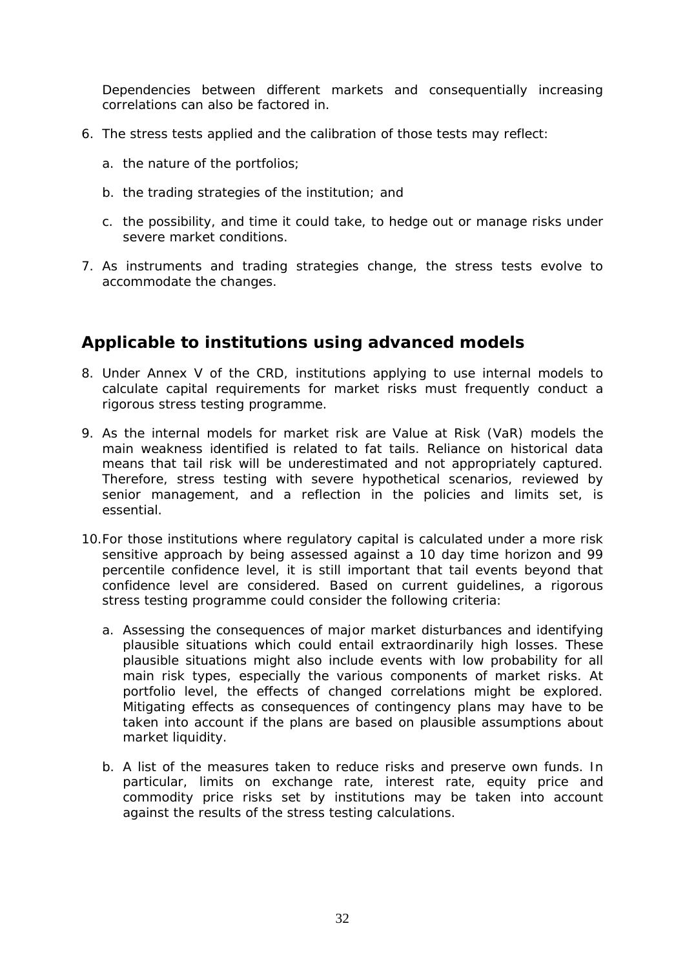<span id="page-31-0"></span>Dependencies between different markets and consequentially increasing correlations can also be factored in.

- 6. The stress tests applied and the calibration of those tests may reflect:
	- a. the nature of the portfolios;
	- b. the trading strategies of the institution; and
	- c. the possibility, and time it could take, to hedge out or manage risks under severe market conditions.
- 7. As instruments and trading strategies change, the stress tests evolve to accommodate the changes.

#### *Applicable to institutions using advanced models*

- 8. Under Annex V of the CRD, institutions applying to use internal models to calculate capital requirements for market risks must frequently conduct a rigorous stress testing programme.
- 9. As the internal models for market risk are Value at Risk (VaR) models the main weakness identified is related to fat tails. Reliance on historical data means that tail risk will be underestimated and not appropriately captured. Therefore, stress testing with severe hypothetical scenarios, reviewed by senior management, and a reflection in the policies and limits set, is essential.
- 10.For those institutions where regulatory capital is calculated under a more risk sensitive approach by being assessed against a 10 day time horizon and 99 percentile confidence level, it is still important that tail events beyond that confidence level are considered. Based on current guidelines, a rigorous stress testing programme could consider the following criteria:
	- a. Assessing the consequences of major market disturbances and identifying plausible situations which could entail extraordinarily high losses. These plausible situations might also include events with low probability for all main risk types, especially the various components of market risks. At portfolio level, the effects of changed correlations might be explored. Mitigating effects as consequences of contingency plans may have to be taken into account if the plans are based on plausible assumptions about market liquidity.
	- b. A list of the measures taken to reduce risks and preserve own funds. In particular, limits on exchange rate, interest rate, equity price and commodity price risks set by institutions may be taken into account against the results of the stress testing calculations.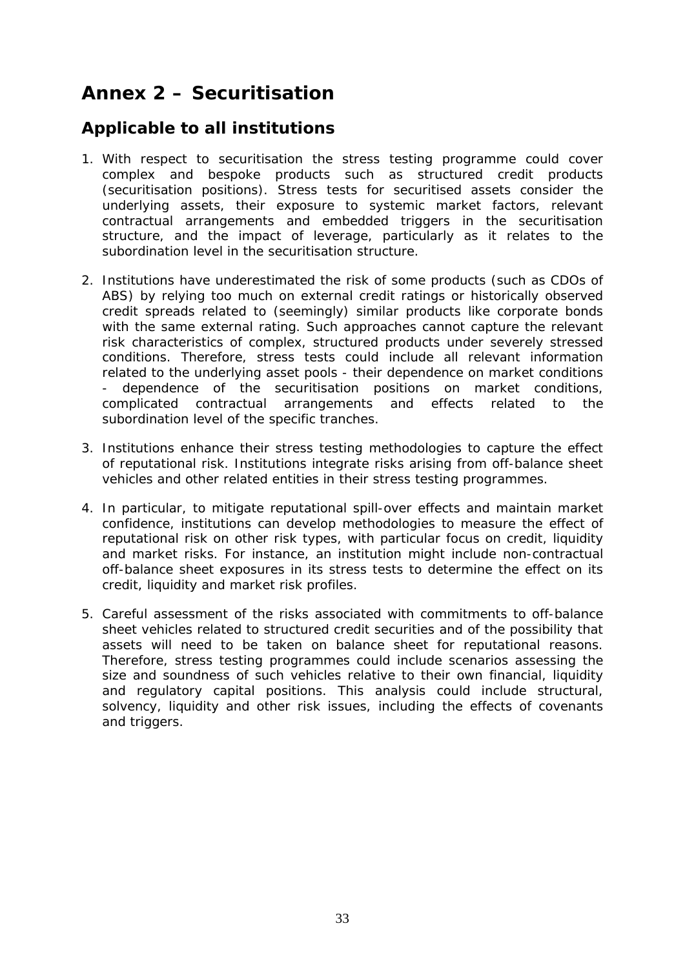# <span id="page-32-0"></span>**Annex 2 – Securitisation**

### *Applicable to all institutions*

- 1. With respect to securitisation the stress testing programme could cover complex and bespoke products such as structured credit products (securitisation positions). Stress tests for securitised assets consider the underlying assets, their exposure to systemic market factors, relevant contractual arrangements and embedded triggers in the securitisation structure, and the impact of leverage, particularly as it relates to the subordination level in the securitisation structure.
- 2. Institutions have underestimated the risk of some products (such as CDOs of ABS) by relying too much on external credit ratings or historically observed credit spreads related to (seemingly) similar products like corporate bonds with the same external rating. Such approaches cannot capture the relevant risk characteristics of complex, structured products under severely stressed conditions. Therefore, stress tests could include all relevant information related to the underlying asset pools - their dependence on market conditions - dependence of the securitisation positions on market conditions, complicated contractual arrangements and effects related to the subordination level of the specific tranches.
- 3. Institutions enhance their stress testing methodologies to capture the effect of reputational risk. Institutions integrate risks arising from off-balance sheet vehicles and other related entities in their stress testing programmes.
- 4. In particular, to mitigate reputational spill-over effects and maintain market confidence, institutions can develop methodologies to measure the effect of reputational risk on other risk types, with particular focus on credit, liquidity and market risks. For instance, an institution might include non-contractual off-balance sheet exposures in its stress tests to determine the effect on its credit, liquidity and market risk profiles.
- 5. Careful assessment of the risks associated with commitments to off-balance sheet vehicles related to structured credit securities and of the possibility that assets will need to be taken on balance sheet for reputational reasons. Therefore, stress testing programmes could include scenarios assessing the size and soundness of such vehicles relative to their own financial, liquidity and regulatory capital positions. This analysis could include structural, solvency, liquidity and other risk issues, including the effects of covenants and triggers.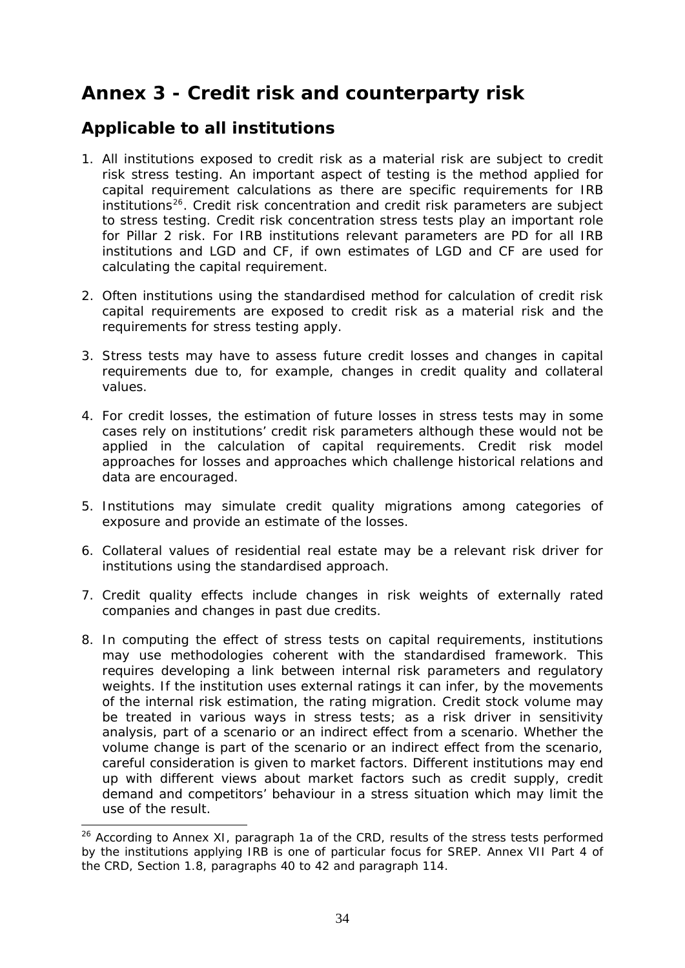# <span id="page-33-0"></span>**Annex 3 - Credit risk and counterparty risk**

### *Applicable to all institutions*

- 1. All institutions exposed to credit risk as a material risk are subject to credit risk stress testing. An important aspect of testing is the method applied for capital requirement calculations as there are specific requirements for IRB  $institutions<sup>26</sup>$  $institutions<sup>26</sup>$  $institutions<sup>26</sup>$ . Credit risk concentration and credit risk parameters are subject to stress testing. Credit risk concentration stress tests play an important role for Pillar 2 risk. For IRB institutions relevant parameters are PD for all IRB institutions and LGD and CF, if own estimates of LGD and CF are used for calculating the capital requirement.
- 2. Often institutions using the standardised method for calculation of credit risk capital requirements are exposed to credit risk as a material risk and the requirements for stress testing apply.
- 3. Stress tests may have to assess future credit losses and changes in capital requirements due to, for example, changes in credit quality and collateral values.
- 4. For credit losses, the estimation of future losses in stress tests may in some cases rely on institutions' credit risk parameters although these would not be applied in the calculation of capital requirements. Credit risk model approaches for losses and approaches which challenge historical relations and data are encouraged.
- 5. Institutions may simulate credit quality migrations among categories of exposure and provide an estimate of the losses.
- 6. Collateral values of residential real estate may be a relevant risk driver for institutions using the standardised approach.
- 7. Credit quality effects include changes in risk weights of externally rated companies and changes in past due credits.
- 8. In computing the effect of stress tests on capital requirements, institutions may use methodologies coherent with the standardised framework. This requires developing a link between internal risk parameters and regulatory weights. If the institution uses external ratings it can infer, by the movements of the internal risk estimation, the rating migration. Credit stock volume may be treated in various ways in stress tests; as a risk driver in sensitivity analysis, part of a scenario or an indirect effect from a scenario. Whether the volume change is part of the scenario or an indirect effect from the scenario, careful consideration is given to market factors. Different institutions may end up with different views about market factors such as credit supply, credit demand and competitors' behaviour in a stress situation which may limit the use of the result.

<span id="page-33-1"></span><sup>&</sup>lt;sup>26</sup> According to Annex XI, paragraph 1a of the CRD, results of the stress tests performed by the institutions applying IRB is one of particular focus for SREP. Annex VII Part 4 of the CRD, Section 1.8, paragraphs 40 to 42 and paragraph 114.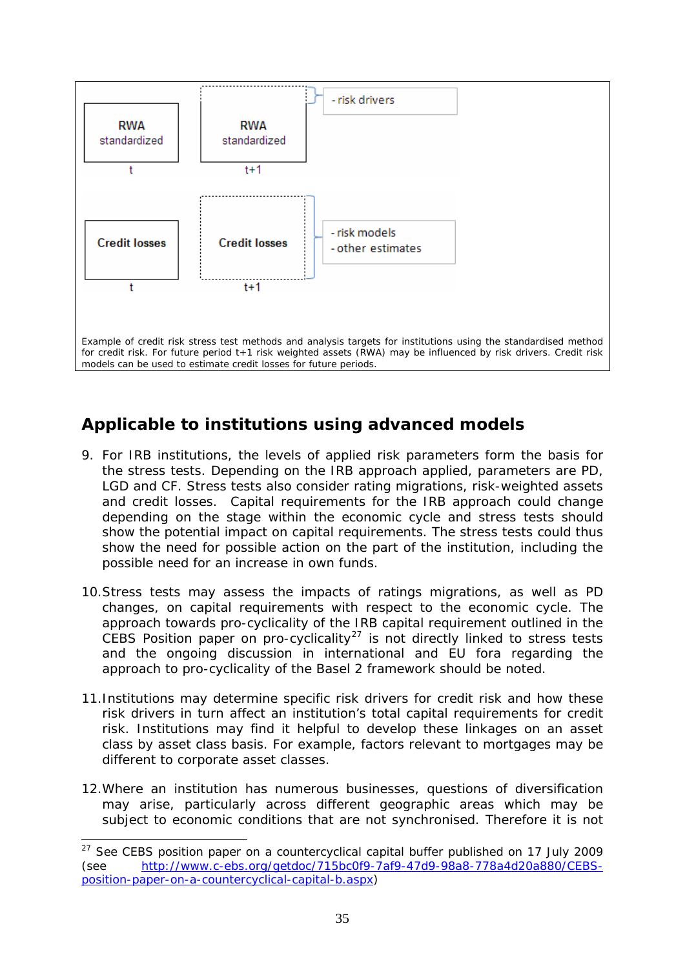<span id="page-34-0"></span>

### *Applicable to institutions using advanced models*

- 9. For IRB institutions, the levels of applied risk parameters form the basis for the stress tests. Depending on the IRB approach applied, parameters are PD, LGD and CF. Stress tests also consider rating migrations, risk-weighted assets and credit losses. Capital requirements for the IRB approach could change depending on the stage within the economic cycle and stress tests should show the potential impact on capital requirements. The stress tests could thus show the need for possible action on the part of the institution, including the possible need for an increase in own funds.
- 10.Stress tests may assess the impacts of ratings migrations, as well as PD changes, on capital requirements with respect to the economic cycle. The approach towards pro-cyclicality of the IRB capital requirement outlined in the  $C$ EBS Position paper on pro-cyclicality<sup>[27](#page-34-1)</sup> is not directly linked to stress tests and the ongoing discussion in international and EU fora regarding the approach to pro-cyclicality of the Basel 2 framework should be noted.
- 11.Institutions may determine specific risk drivers for credit risk and how these risk drivers in turn affect an institution's total capital requirements for credit risk. Institutions may find it helpful to develop these linkages on an asset class by asset class basis. For example, factors relevant to mortgages may be different to corporate asset classes.
- 12.Where an institution has numerous businesses, questions of diversification may arise, particularly across different geographic areas which may be subject to economic conditions that are not synchronised. Therefore it is not

<span id="page-34-1"></span> $27$  See CEBS position paper on a countercyclical capital buffer published on 17 July 2009 (see [http://www.c-ebs.org/getdoc/715bc0f9-7af9-47d9-98a8-778a4d20a880/CEBS](http://www.c-ebs.org/getdoc/715bc0f9-7af9-47d9-98a8-778a4d20a880/CEBS-position-paper-on-a-countercyclical-capital-b.aspx)[position-paper-on-a-countercyclical-capital-b.aspx\)](http://www.c-ebs.org/getdoc/715bc0f9-7af9-47d9-98a8-778a4d20a880/CEBS-position-paper-on-a-countercyclical-capital-b.aspx)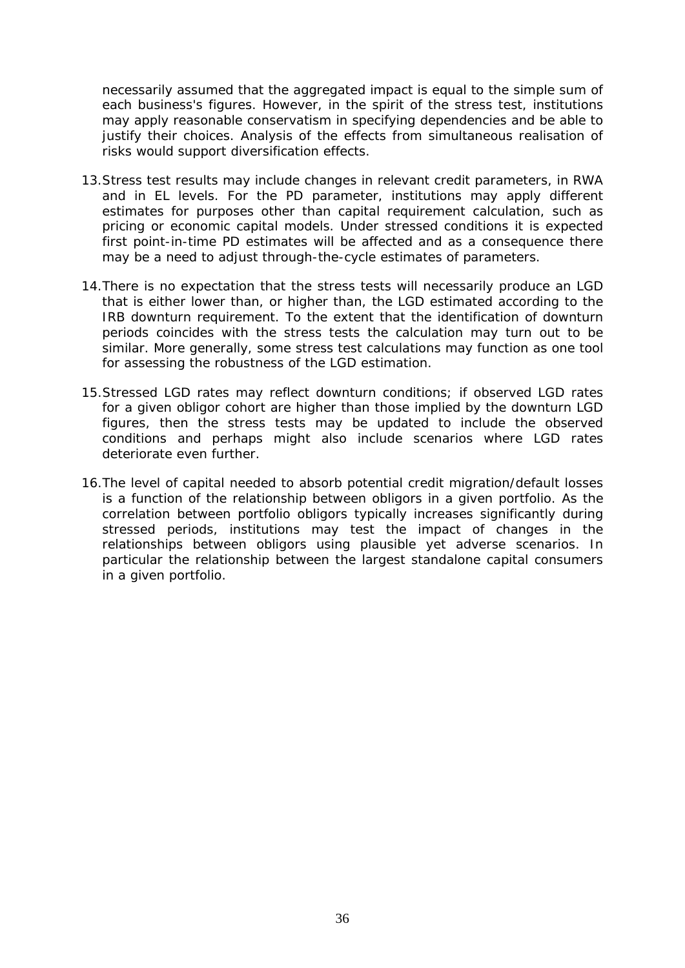necessarily assumed that the aggregated impact is equal to the simple sum of each business's figures. However, in the spirit of the stress test, institutions may apply reasonable conservatism in specifying dependencies and be able to justify their choices. Analysis of the effects from simultaneous realisation of risks would support diversification effects.

- 13.Stress test results may include changes in relevant credit parameters, in RWA and in EL levels. For the PD parameter, institutions may apply different estimates for purposes other than capital requirement calculation, such as pricing or economic capital models. Under stressed conditions it is expected first point-in-time PD estimates will be affected and as a consequence there may be a need to adjust through-the-cycle estimates of parameters.
- 14.There is no expectation that the stress tests will necessarily produce an LGD that is either lower than, or higher than, the LGD estimated according to the IRB downturn requirement. To the extent that the identification of downturn periods coincides with the stress tests the calculation may turn out to be similar. More generally, some stress test calculations may function as one tool for assessing the robustness of the LGD estimation.
- 15.Stressed LGD rates may reflect downturn conditions; if observed LGD rates for a given obligor cohort are higher than those implied by the downturn LGD figures, then the stress tests may be updated to include the observed conditions and perhaps might also include scenarios where LGD rates deteriorate even further.
- 16.The level of capital needed to absorb potential credit migration/default losses is a function of the relationship between obligors in a given portfolio. As the correlation between portfolio obligors typically increases significantly during stressed periods, institutions may test the impact of changes in the relationships between obligors using plausible yet adverse scenarios. In particular the relationship between the largest standalone capital consumers in a given portfolio.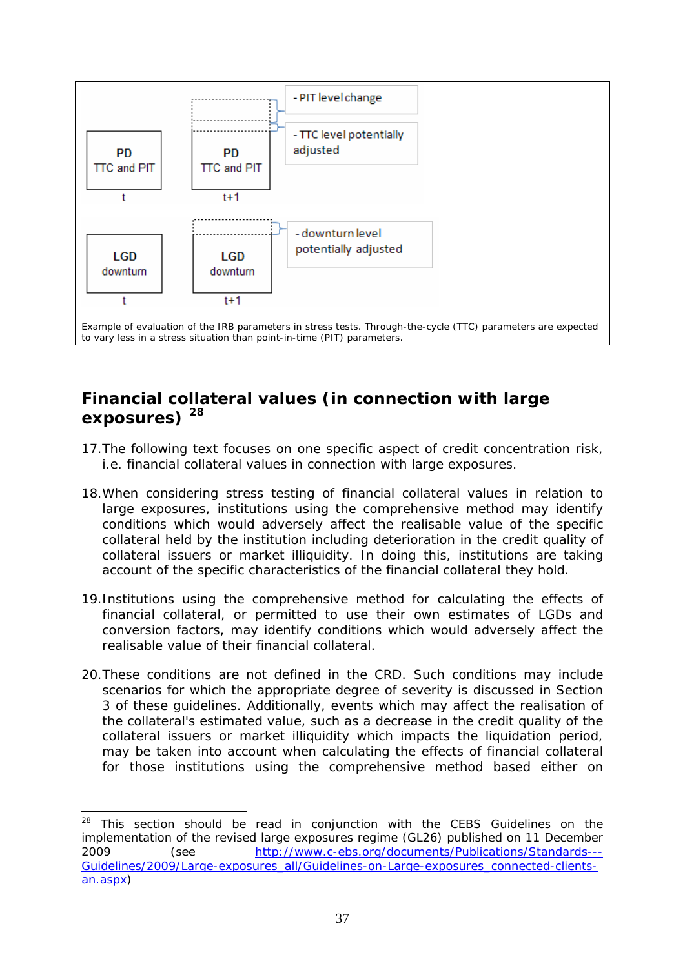<span id="page-36-0"></span>

### *Financial collateral values (in connection with large exposures) [28](#page-36-1)*

- 17.The following text focuses on one specific aspect of credit concentration risk, i.e. financial collateral values in connection with large exposures.
- 18.When considering stress testing of financial collateral values in relation to large exposures, institutions using the comprehensive method may identify conditions which would adversely affect the realisable value of the specific collateral held by the institution including deterioration in the credit quality of collateral issuers or market illiquidity. In doing this, institutions are taking account of the specific characteristics of the financial collateral they hold.
- 19.Institutions using the comprehensive method for calculating the effects of financial collateral, or permitted to use their own estimates of LGDs and conversion factors, may identify conditions which would adversely affect the realisable value of their financial collateral.
- 20.These conditions are not defined in the CRD. Such conditions may include scenarios for which the appropriate degree of severity is discussed in Section 3 of these guidelines. Additionally, events which may affect the realisation of the collateral's estimated value, such as a decrease in the credit quality of the collateral issuers or market illiquidity which impacts the liquidation period, may be taken into account when calculating the effects of financial collateral for those institutions using the comprehensive method based either on

<span id="page-36-1"></span> $28$  This section should be read in conjunction with the CEBS Guidelines on the implementation of the revised large exposures regime (GL26) published on 11 December 2009 (see [http://www.c-ebs.org/documents/Publications/Standards---](http://www.c-ebs.org/documents/Publications/Standards---Guidelines/2009/Large-exposures_all/Guidelines-on-Large-exposures_connected-clients-an.aspx) [Guidelines/2009/Large-exposures\\_all/Guidelines-on-Large-exposures\\_connected-clients](http://www.c-ebs.org/documents/Publications/Standards---Guidelines/2009/Large-exposures_all/Guidelines-on-Large-exposures_connected-clients-an.aspx)[an.aspx](http://www.c-ebs.org/documents/Publications/Standards---Guidelines/2009/Large-exposures_all/Guidelines-on-Large-exposures_connected-clients-an.aspx))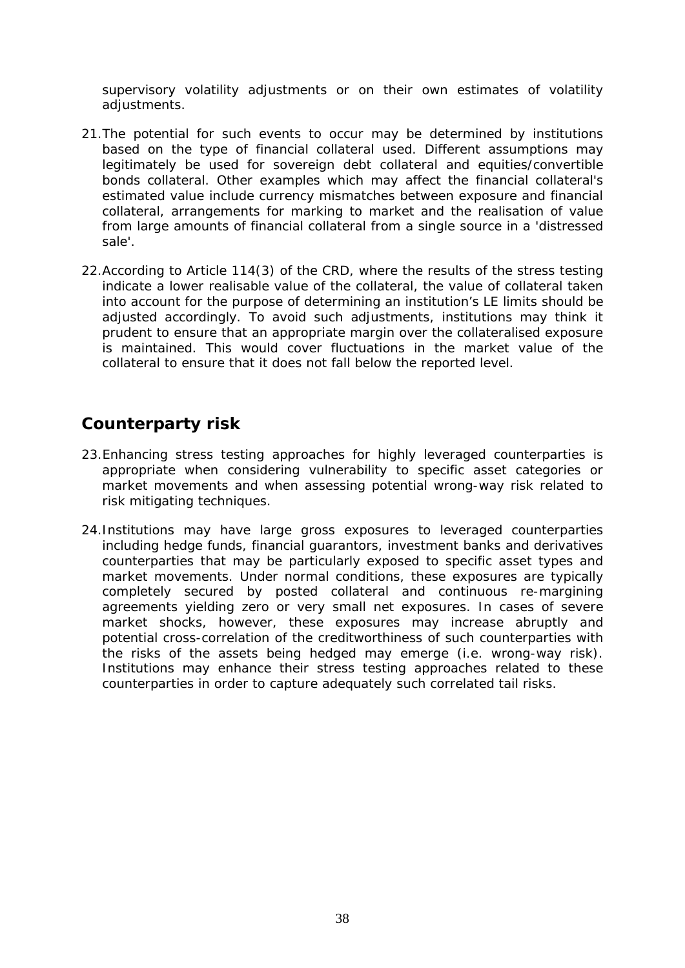<span id="page-37-0"></span>supervisory volatility adjustments or on their own estimates of volatility adjustments.

- 21.The potential for such events to occur may be determined by institutions based on the type of financial collateral used. Different assumptions may legitimately be used for sovereign debt collateral and equities/convertible bonds collateral. Other examples which may affect the financial collateral's estimated value include currency mismatches between exposure and financial collateral, arrangements for marking to market and the realisation of value from large amounts of financial collateral from a single source in a 'distressed sale'.
- 22.According to Article 114(3) of the CRD, where the results of the stress testing indicate a lower realisable value of the collateral, the value of collateral taken into account for the purpose of determining an institution's LE limits should be adjusted accordingly. To avoid such adjustments, institutions may think it prudent to ensure that an appropriate margin over the collateralised exposure is maintained. This would cover fluctuations in the market value of the collateral to ensure that it does not fall below the reported level.

### *Counterparty risk*

- 23.Enhancing stress testing approaches for highly leveraged counterparties is appropriate when considering vulnerability to specific asset categories or market movements and when assessing potential wrong-way risk related to risk mitigating techniques.
- 24.Institutions may have large gross exposures to leveraged counterparties including hedge funds, financial guarantors, investment banks and derivatives counterparties that may be particularly exposed to specific asset types and market movements. Under normal conditions, these exposures are typically completely secured by posted collateral and continuous re-margining agreements yielding zero or very small net exposures. In cases of severe market shocks, however, these exposures may increase abruptly and potential cross-correlation of the creditworthiness of such counterparties with the risks of the assets being hedged may emerge (i.e. wrong-way risk). Institutions may enhance their stress testing approaches related to these counterparties in order to capture adequately such correlated tail risks.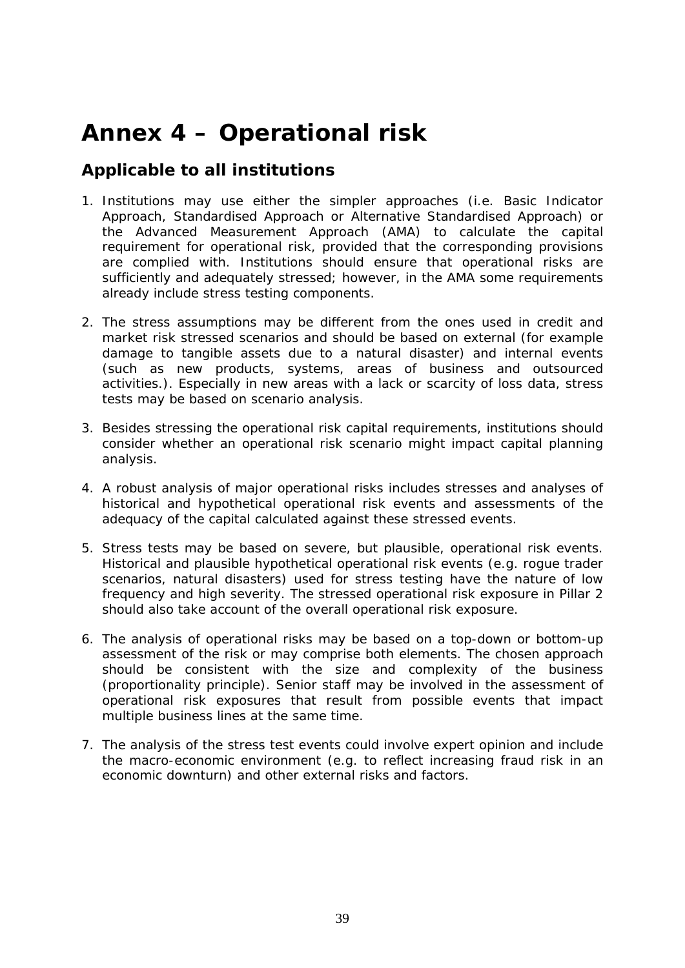# <span id="page-38-0"></span>**Annex 4 – Operational risk**

#### *Applicable to all institutions*

- 1. Institutions may use either the simpler approaches (i.e. Basic Indicator Approach, Standardised Approach or Alternative Standardised Approach) or the Advanced Measurement Approach (AMA) to calculate the capital requirement for operational risk, provided that the corresponding provisions are complied with. Institutions should ensure that operational risks are sufficiently and adequately stressed; however, in the AMA some requirements already include stress testing components.
- 2. The stress assumptions may be different from the ones used in credit and market risk stressed scenarios and should be based on external (for example damage to tangible assets due to a natural disaster) and internal events (such as new products, systems, areas of business and outsourced activities.). Especially in new areas with a lack or scarcity of loss data, stress tests may be based on scenario analysis.
- 3. Besides stressing the operational risk capital requirements, institutions should consider whether an operational risk scenario might impact capital planning analysis.
- 4. A robust analysis of major operational risks includes stresses and analyses of historical and hypothetical operational risk events and assessments of the adequacy of the capital calculated against these stressed events.
- 5. Stress tests may be based on severe, but plausible, operational risk events. Historical and plausible hypothetical operational risk events (e.g. rogue trader scenarios, natural disasters) used for stress testing have the nature of low frequency and high severity. The stressed operational risk exposure in Pillar 2 should also take account of the overall operational risk exposure.
- 6. The analysis of operational risks may be based on a top-down or bottom-up assessment of the risk or may comprise both elements. The chosen approach should be consistent with the size and complexity of the business (proportionality principle). Senior staff may be involved in the assessment of operational risk exposures that result from possible events that impact multiple business lines at the same time.
- 7. The analysis of the stress test events could involve expert opinion and include the macro-economic environment (e.g. to reflect increasing fraud risk in an economic downturn) and other external risks and factors.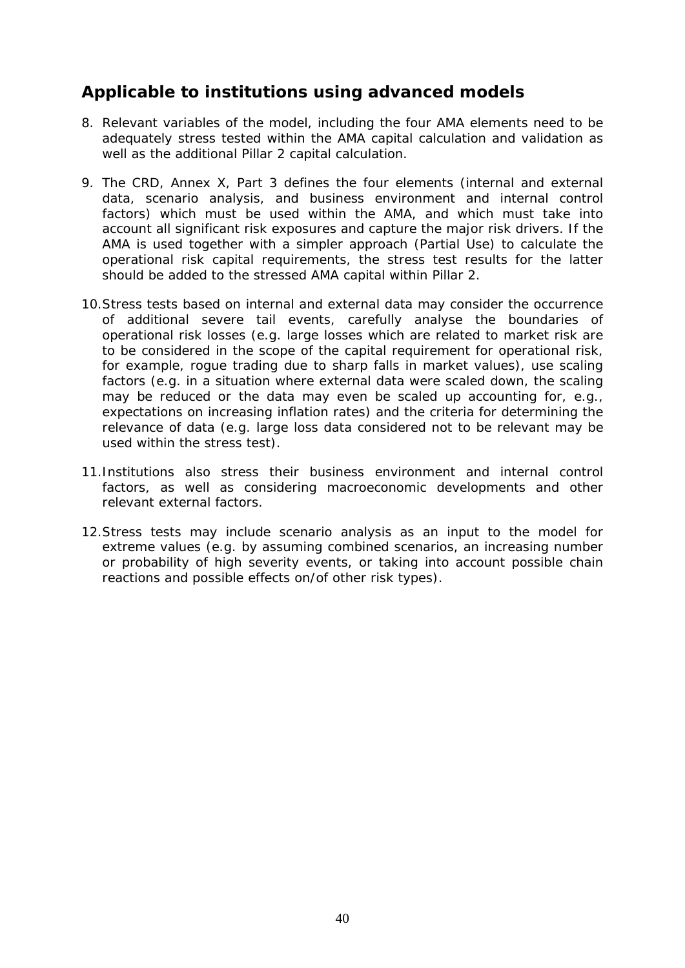### <span id="page-39-0"></span>*Applicable to institutions using advanced models*

- 8. Relevant variables of the model, including the four AMA elements need to be adequately stress tested within the AMA capital calculation and validation as well as the additional Pillar 2 capital calculation.
- 9. The CRD, Annex X, Part 3 defines the four elements (internal and external data, scenario analysis, and business environment and internal control factors) which must be used within the AMA, and which must take into account all significant risk exposures and capture the major risk drivers. If the AMA is used together with a simpler approach (Partial Use) to calculate the operational risk capital requirements, the stress test results for the latter should be added to the stressed AMA capital within Pillar 2.
- 10.Stress tests based on internal and external data may consider the occurrence of additional severe tail events, carefully analyse the boundaries of operational risk losses (e.g. large losses which are related to market risk are to be considered in the scope of the capital requirement for operational risk, for example, rogue trading due to sharp falls in market values), use scaling factors (e.g. in a situation where external data were scaled down, the scaling may be reduced or the data may even be scaled up accounting for, e.g., expectations on increasing inflation rates) and the criteria for determining the relevance of data (e.g. large loss data considered not to be relevant may be used within the stress test).
- 11.Institutions also stress their business environment and internal control factors, as well as considering macroeconomic developments and other relevant external factors.
- 12.Stress tests may include scenario analysis as an input to the model for extreme values (e.g. by assuming combined scenarios, an increasing number or probability of high severity events, or taking into account possible chain reactions and possible effects on/of other risk types).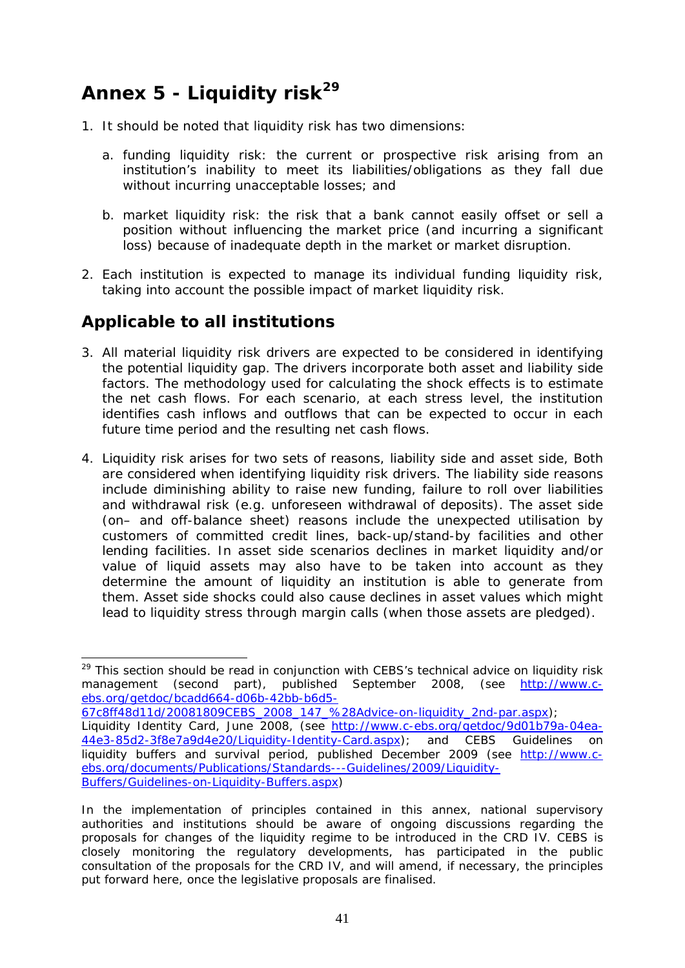# <span id="page-40-0"></span>**Annex 5 - Liquidity risk[29](#page-40-1)**

- 1. It should be noted that liquidity risk has two dimensions:
	- a. funding liquidity risk: the current or prospective risk arising from an institution's inability to meet its liabilities/obligations as they fall due without incurring unacceptable losses; and
	- b. market liquidity risk: the risk that a bank cannot easily offset or sell a position without influencing the market price (and incurring a significant loss) because of inadequate depth in the market or market disruption.
- 2. Each institution is expected to manage its individual funding liquidity risk, taking into account the possible impact of market liquidity risk.

### *Applicable to all institutions*

- 3. All material liquidity risk drivers are expected to be considered in identifying the potential liquidity gap. The drivers incorporate both asset and liability side factors. The methodology used for calculating the shock effects is to estimate the net cash flows. For each scenario, at each stress level, the institution identifies cash inflows and outflows that can be expected to occur in each future time period and the resulting net cash flows.
- 4. Liquidity risk arises for two sets of reasons, liability side and asset side, Both are considered when identifying liquidity risk drivers. The liability side reasons include diminishing ability to raise new funding, failure to roll over liabilities and withdrawal risk (e.g. unforeseen withdrawal of deposits). The asset side (on– and off-balance sheet) reasons include the unexpected utilisation by customers of committed credit lines, back-up/stand-by facilities and other lending facilities. In asset side scenarios declines in market liquidity and/or value of liquid assets may also have to be taken into account as they determine the amount of liquidity an institution is able to generate from them. Asset side shocks could also cause declines in asset values which might lead to liquidity stress through margin calls (when those assets are pledged).

<span id="page-40-1"></span><sup>&</sup>lt;sup>29</sup> This section should be read in conjunction with CEBS's technical advice on liquidity risk management (second part), published September 2008, (see [http://www.c](http://www.c-ebs.org/getdoc/bcadd664-d06b-42bb-b6d5-67c8ff48d11d/20081809CEBS_2008_147_%28Advice-on-liquidity_2nd-par.aspx)[ebs.org/getdoc/bcadd664-d06b-42bb-b6d5-](http://www.c-ebs.org/getdoc/bcadd664-d06b-42bb-b6d5-67c8ff48d11d/20081809CEBS_2008_147_%28Advice-on-liquidity_2nd-par.aspx)

[<sup>67</sup>c8ff48d11d/20081809CEBS\\_2008\\_147\\_%28Advice-on-liquidity\\_2nd-par.aspx\)](http://www.c-ebs.org/getdoc/bcadd664-d06b-42bb-b6d5-67c8ff48d11d/20081809CEBS_2008_147_%28Advice-on-liquidity_2nd-par.aspx); Liquidity Identity Card, June 2008, (see [http://www.c-ebs.org/getdoc/9d01b79a-04ea-](http://www.c-ebs.org/getdoc/9d01b79a-04ea-44e3-85d2-3f8e7a9d4e20/Liquidity-Identity-Card.aspx)[44e3-85d2-3f8e7a9d4e20/Liquidity-Identity-Card.aspx](http://www.c-ebs.org/getdoc/9d01b79a-04ea-44e3-85d2-3f8e7a9d4e20/Liquidity-Identity-Card.aspx)); and CEBS Guidelines on liquidity buffers and survival period, published December 2009 (see [http://www.c](http://www.c-ebs.org/documents/Publications/Standards---Guidelines/2009/Liquidity-Buffers/Guidelines-on-Liquidity-Buffers.aspx)[ebs.org/documents/Publications/Standards---Guidelines/2009/Liquidity-](http://www.c-ebs.org/documents/Publications/Standards---Guidelines/2009/Liquidity-Buffers/Guidelines-on-Liquidity-Buffers.aspx)[Buffers/Guidelines-on-Liquidity-Buffers.aspx](http://www.c-ebs.org/documents/Publications/Standards---Guidelines/2009/Liquidity-Buffers/Guidelines-on-Liquidity-Buffers.aspx))

In the implementation of principles contained in this annex, national supervisory authorities and institutions should be aware of ongoing discussions regarding the proposals for changes of the liquidity regime to be introduced in the CRD IV. CEBS is closely monitoring the regulatory developments, has participated in the public consultation of the proposals for the CRD IV, and will amend, if necessary, the principles put forward here, once the legislative proposals are finalised.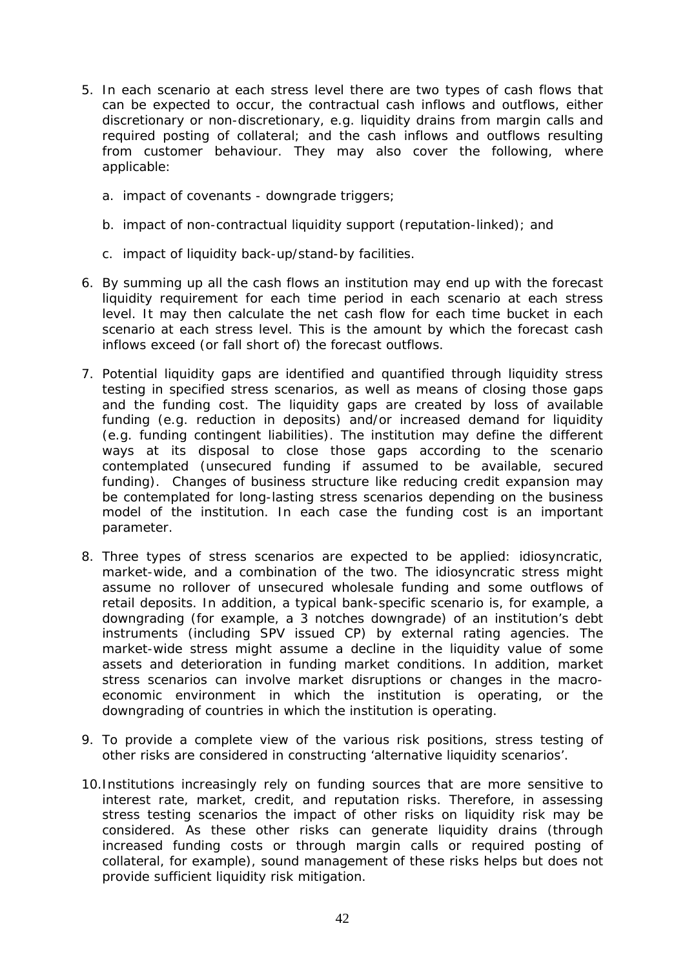- 5. In each scenario at each stress level there are two types of cash flows that can be expected to occur, the contractual cash inflows and outflows, either discretionary or non-discretionary, e.g. liquidity drains from margin calls and required posting of collateral; and the cash inflows and outflows resulting from customer behaviour. They may also cover the following, where applicable:
	- a. impact of covenants downgrade triggers;
	- b. impact of non-contractual liquidity support (reputation-linked); and
	- c. impact of liquidity back-up/stand-by facilities.
- 6. By summing up all the cash flows an institution may end up with the forecast liquidity requirement for each time period in each scenario at each stress level. It may then calculate the net cash flow for each time bucket in each scenario at each stress level. This is the amount by which the forecast cash inflows exceed (or fall short of) the forecast outflows.
- 7. Potential liquidity gaps are identified and quantified through liquidity stress testing in specified stress scenarios, as well as means of closing those gaps and the funding cost. The liquidity gaps are created by loss of available funding (e.g. reduction in deposits) and/or increased demand for liquidity (e.g. funding contingent liabilities). The institution may define the different ways at its disposal to close those gaps according to the scenario contemplated (unsecured funding if assumed to be available, secured funding). Changes of business structure like reducing credit expansion may be contemplated for long-lasting stress scenarios depending on the business model of the institution. In each case the funding cost is an important parameter.
- 8. Three types of stress scenarios are expected to be applied: idiosyncratic, market-wide, and a combination of the two. The idiosyncratic stress might assume no rollover of unsecured wholesale funding and some outflows of retail deposits. In addition, a typical bank-specific scenario is, for example, a downgrading (for example, a 3 notches downgrade) of an institution's debt instruments (including SPV issued CP) by external rating agencies. The market-wide stress might assume a decline in the liquidity value of some assets and deterioration in funding market conditions. In addition, market stress scenarios can involve market disruptions or changes in the macroeconomic environment in which the institution is operating, or the downgrading of countries in which the institution is operating.
- 9. To provide a complete view of the various risk positions, stress testing of other risks are considered in constructing 'alternative liquidity scenarios'.
- 10.Institutions increasingly rely on funding sources that are more sensitive to interest rate, market, credit, and reputation risks. Therefore, in assessing stress testing scenarios the impact of other risks on liquidity risk may be considered. As these other risks can generate liquidity drains (through increased funding costs or through margin calls or required posting of collateral, for example), sound management of these risks helps but does not provide sufficient liquidity risk mitigation.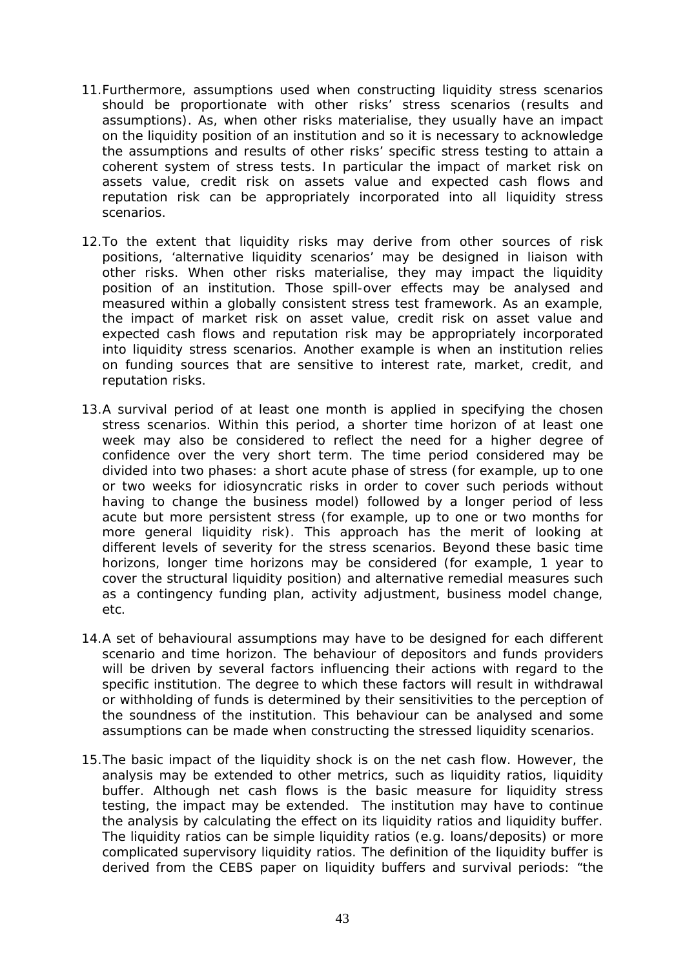- 11.Furthermore, assumptions used when constructing liquidity stress scenarios should be proportionate with other risks' stress scenarios (results and assumptions). As, when other risks materialise, they usually have an impact on the liquidity position of an institution and so it is necessary to acknowledge the assumptions and results of other risks' specific stress testing to attain a coherent system of stress tests. In particular the impact of market risk on assets value, credit risk on assets value and expected cash flows and reputation risk can be appropriately incorporated into all liquidity stress scenarios.
- 12.To the extent that liquidity risks may derive from other sources of risk positions, 'alternative liquidity scenarios' may be designed in liaison with other risks. When other risks materialise, they may impact the liquidity position of an institution. Those spill-over effects may be analysed and measured within a globally consistent stress test framework. As an example, the impact of market risk on asset value, credit risk on asset value and expected cash flows and reputation risk may be appropriately incorporated into liquidity stress scenarios. Another example is when an institution relies on funding sources that are sensitive to interest rate, market, credit, and reputation risks.
- 13.A survival period of at least one month is applied in specifying the chosen stress scenarios. Within this period, a shorter time horizon of at least one week may also be considered to reflect the need for a higher degree of confidence over the very short term. The time period considered may be divided into two phases: a short acute phase of stress (for example, up to one or two weeks for idiosyncratic risks in order to cover such periods without having to change the business model) followed by a longer period of less acute but more persistent stress (for example, up to one or two months for more general liquidity risk). This approach has the merit of looking at different levels of severity for the stress scenarios. Beyond these basic time horizons, longer time horizons may be considered (for example, 1 year to cover the structural liquidity position) and alternative remedial measures such as a contingency funding plan, activity adjustment, business model change, etc.
- 14.A set of behavioural assumptions may have to be designed for each different scenario and time horizon. The behaviour of depositors and funds providers will be driven by several factors influencing their actions with regard to the specific institution. The degree to which these factors will result in withdrawal or withholding of funds is determined by their sensitivities to the perception of the soundness of the institution. This behaviour can be analysed and some assumptions can be made when constructing the stressed liquidity scenarios.
- 15.The basic impact of the liquidity shock is on the net cash flow. However, the analysis may be extended to other metrics, such as liquidity ratios, liquidity buffer. Although net cash flows is the basic measure for liquidity stress testing, the impact may be extended. The institution may have to continue the analysis by calculating the effect on its liquidity ratios and liquidity buffer. The liquidity ratios can be simple liquidity ratios (e.g. loans/deposits) or more complicated supervisory liquidity ratios. The definition of the liquidity buffer is derived from the CEBS paper on liquidity buffers and survival periods: "the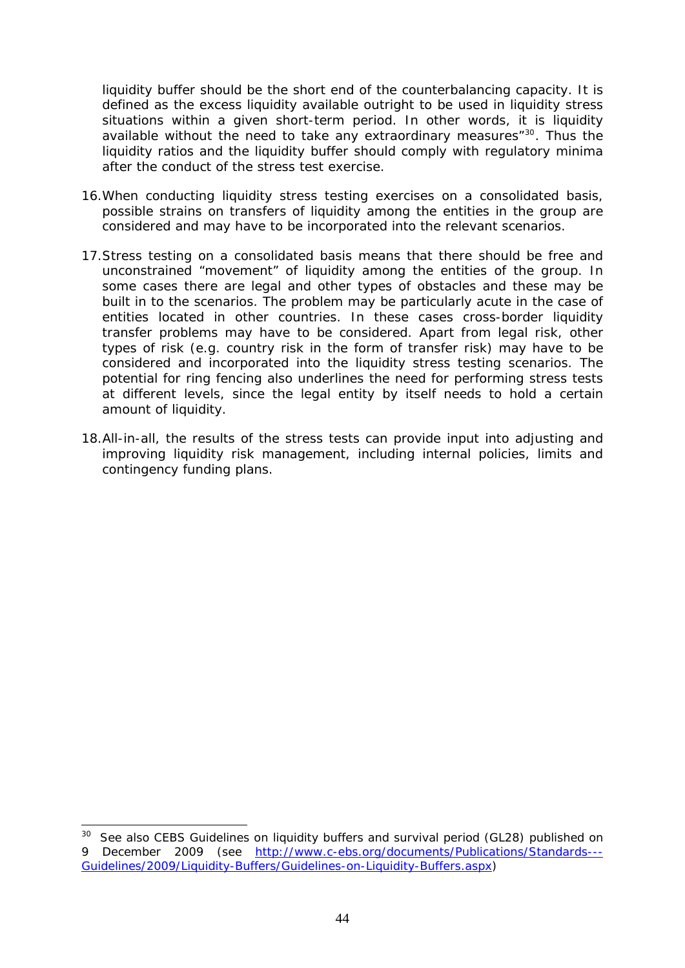liquidity buffer should be the short end of the counterbalancing capacity. It is defined as the excess liquidity available outright to be used in liquidity stress situations within a given short-term period. In other words, it is liquidity available without the need to take any extraordinary measures"<sup>30</sup>. Thus the liquidity ratios and the liquidity buffer should comply with regulatory minima after the conduct of the stress test exercise.

- 16.When conducting liquidity stress testing exercises on a consolidated basis, possible strains on transfers of liquidity among the entities in the group are considered and may have to be incorporated into the relevant scenarios.
- 17.Stress testing on a consolidated basis means that there should be free and unconstrained "movement" of liquidity among the entities of the group. In some cases there are legal and other types of obstacles and these may be built in to the scenarios. The problem may be particularly acute in the case of entities located in other countries. In these cases cross-border liquidity transfer problems may have to be considered. Apart from legal risk, other types of risk (e.g. country risk in the form of transfer risk) may have to be considered and incorporated into the liquidity stress testing scenarios. The potential for ring fencing also underlines the need for performing stress tests at different levels, since the legal entity by itself needs to hold a certain amount of liquidity.
- 18.All-in-all, the results of the stress tests can provide input into adjusting and improving liquidity risk management, including internal policies, limits and contingency funding plans.

<sup>&</sup>lt;sup>30</sup> See also CEBS Guidelines on liquidity buffers and survival period (GL28) published on 9 December 2009 (see [http://www.c-ebs.org/documents/Publications/Standards---](http://www.c-ebs.org/documents/Publications/Standards---Guidelines/2009/Liquidity-Buffers/Guidelines-on-Liquidity-Buffers.aspx) [Guidelines/2009/Liquidity-Buffers/Guidelines-on-Liquidity-Buffers.aspx\)](http://www.c-ebs.org/documents/Publications/Standards---Guidelines/2009/Liquidity-Buffers/Guidelines-on-Liquidity-Buffers.aspx)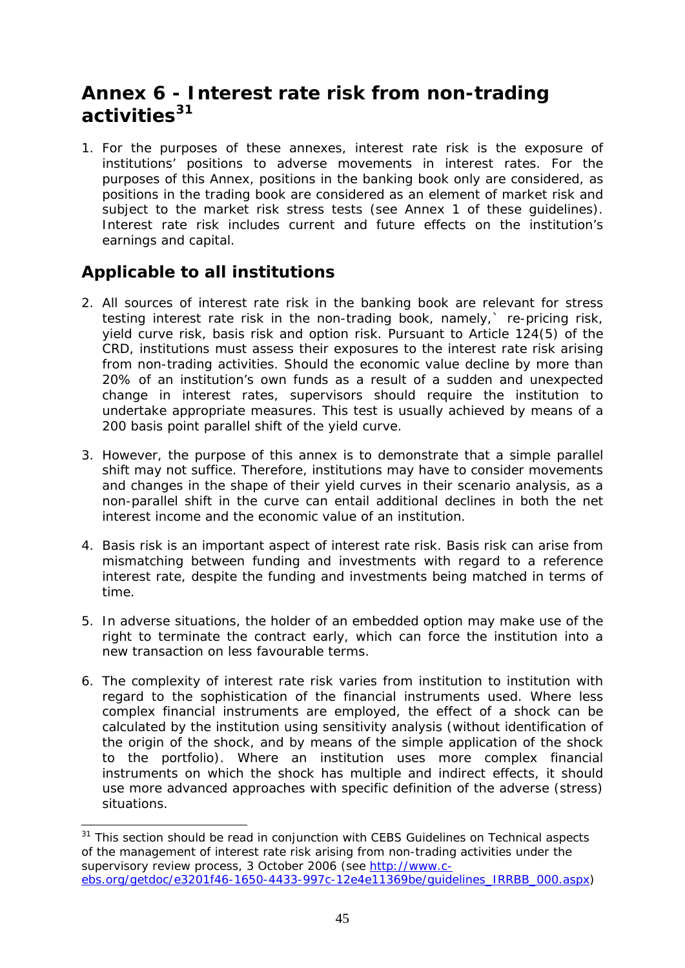# <span id="page-44-0"></span>**Annex 6 - Interest rate risk from non-trading activities[31](#page-44-1)**

1. For the purposes of these annexes, interest rate risk is the exposure of institutions' positions to adverse movements in interest rates. For the purposes of this Annex, positions in the banking book only are considered, as positions in the trading book are considered as an element of market risk and subject to the market risk stress tests (see Annex 1 of these quidelines). Interest rate risk includes current and future effects on the institution's earnings and capital.

### *Applicable to all institutions*

1

- 2. All sources of interest rate risk in the banking book are relevant for stress testing interest rate risk in the non-trading book, namely,` re-pricing risk, yield curve risk, basis risk and option risk. Pursuant to Article 124(5) of the CRD, institutions must assess their exposures to the interest rate risk arising from non-trading activities. Should the economic value decline by more than 20% of an institution's own funds as a result of a sudden and unexpected change in interest rates, supervisors should require the institution to undertake appropriate measures. This test is usually achieved by means of a 200 basis point parallel shift of the yield curve.
- 3. However, the purpose of this annex is to demonstrate that a simple parallel shift may not suffice. Therefore, institutions may have to consider movements and changes in the shape of their yield curves in their scenario analysis, as a non-parallel shift in the curve can entail additional declines in both the net interest income and the economic value of an institution.
- 4. Basis risk is an important aspect of interest rate risk. Basis risk can arise from mismatching between funding and investments with regard to a reference interest rate, despite the funding and investments being matched in terms of time.
- 5. In adverse situations, the holder of an embedded option may make use of the right to terminate the contract early, which can force the institution into a new transaction on less favourable terms.
- 6. The complexity of interest rate risk varies from institution to institution with regard to the sophistication of the financial instruments used. Where less complex financial instruments are employed, the effect of a shock can be calculated by the institution using sensitivity analysis (without identification of the origin of the shock, and by means of the simple application of the shock to the portfolio). Where an institution uses more complex financial instruments on which the shock has multiple and indirect effects, it should use more advanced approaches with specific definition of the adverse (stress) situations.

<span id="page-44-1"></span> $31$  This section should be read in conjunction with CEBS Guidelines on Technical aspects of the management of interest rate risk arising from non-trading activities under the supervisory review process, 3 October 2006 (see [http://www.c](http://www.c-ebs.org/getdoc/e3201f46-1650-4433-997c-12e4e11369be/guidelines_IRRBB_000.aspx)[ebs.org/getdoc/e3201f46-1650-4433-997c-12e4e11369be/guidelines\\_IRRBB\\_000.aspx\)](http://www.c-ebs.org/getdoc/e3201f46-1650-4433-997c-12e4e11369be/guidelines_IRRBB_000.aspx)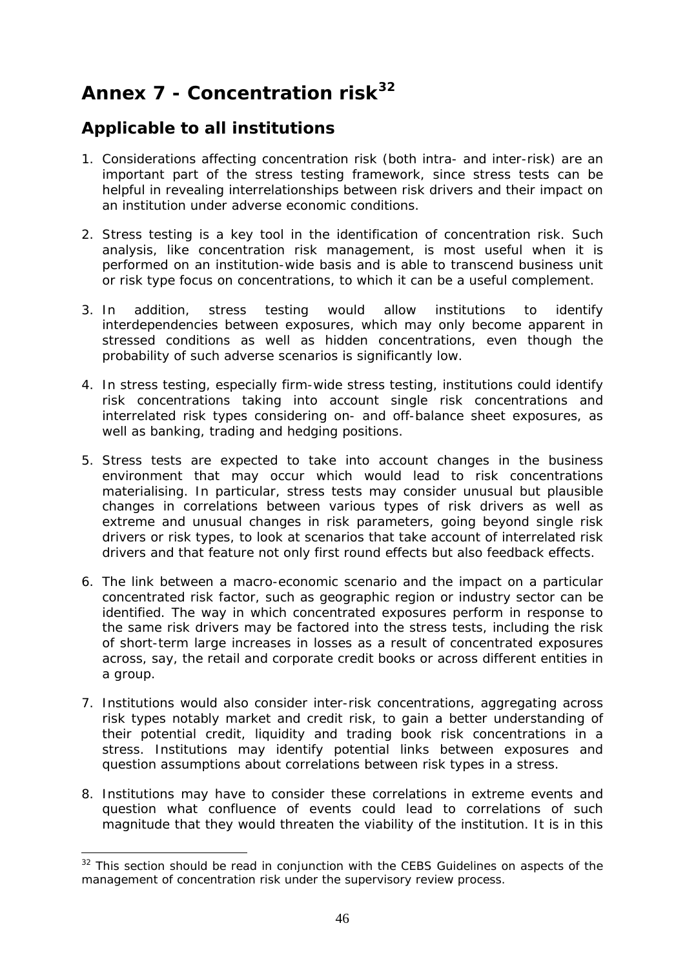# <span id="page-45-0"></span>**Annex 7 - Concentration risk[32](#page-45-1)**

### *Applicable to all institutions*

- 1. Considerations affecting concentration risk (both intra- and inter-risk) are an important part of the stress testing framework, since stress tests can be helpful in revealing interrelationships between risk drivers and their impact on an institution under adverse economic conditions.
- 2. Stress testing is a key tool in the identification of concentration risk. Such analysis, like concentration risk management, is most useful when it is performed on an institution-wide basis and is able to transcend business unit or risk type focus on concentrations, to which it can be a useful complement.
- 3. In addition, stress testing would allow institutions to identify interdependencies between exposures, which may only become apparent in stressed conditions as well as hidden concentrations, even though the probability of such adverse scenarios is significantly low.
- 4. In stress testing, especially firm-wide stress testing, institutions could identify risk concentrations taking into account single risk concentrations and interrelated risk types considering on- and off-balance sheet exposures, as well as banking, trading and hedging positions.
- 5. Stress tests are expected to take into account changes in the business environment that may occur which would lead to risk concentrations materialising. In particular, stress tests may consider unusual but plausible changes in correlations between various types of risk drivers as well as extreme and unusual changes in risk parameters, going beyond single risk drivers or risk types, to look at scenarios that take account of interrelated risk drivers and that feature not only first round effects but also feedback effects.
- 6. The link between a macro-economic scenario and the impact on a particular concentrated risk factor, such as geographic region or industry sector can be identified. The way in which concentrated exposures perform in response to the same risk drivers may be factored into the stress tests, including the risk of short-term large increases in losses as a result of concentrated exposures across, say, the retail and corporate credit books or across different entities in a group.
- 7. Institutions would also consider inter-risk concentrations, aggregating across risk types notably market and credit risk, to gain a better understanding of their potential credit, liquidity and trading book risk concentrations in a stress. Institutions may identify potential links between exposures and question assumptions about correlations between risk types in a stress.
- 8. Institutions may have to consider these correlations in extreme events and question what confluence of events could lead to correlations of such magnitude that they would threaten the viability of the institution. It is in this

1

<span id="page-45-1"></span> $32$  This section should be read in conjunction with the CEBS Guidelines on aspects of the management of concentration risk under the supervisory review process.